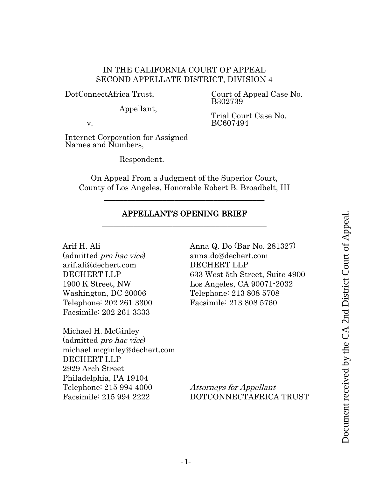# IN THE CALIFORNIA COURT OF APPEAL SECOND APPELLATE DISTRICT, DIVISION 4

DotConnectAfrica Trust,

Court of Appeal Case No. B302739

Appellant,

Trial Court Case No. BC607494

v.

Internet Corporation for Assigned Names and Numbers,

Respondent.

On Appeal From a Judgment of the Superior Court, County of Los Angeles, Honorable Robert B. Broadbelt, III

\_\_\_\_\_\_\_\_\_\_\_\_\_\_\_\_\_\_\_\_\_\_\_\_\_\_\_\_\_\_\_\_\_\_\_\_\_\_\_\_\_

## APPELLANT'S OPENING BRIEF \_\_\_\_\_\_\_\_\_\_\_\_\_\_\_\_\_\_\_\_\_\_\_\_\_\_\_\_\_\_\_\_\_\_\_\_\_\_\_\_\_\_

Arif H. Ali

(admitted pro hac vice) arif.ali@dechert.com DECHERT LLP 1900 K Street, NW Washington, DC 20006 Telephone: 202 261 3300 Facsimile: 202 261 3333

Michael H. McGinley (admitted pro hac vice) michael.mcginley@dechert.com DECHERT LLP 2929 Arch Street Philadelphia, PA 19104 Telephone: 215 994 4000 Facsimile: 215 994 2222 **APPELLANT'S OPENING BRIEF**<br>
Arist H. Ali<br>
admitted *pro hac vice*)<br>
anna Q. Do (Bar No. 281327)<br>
anna dogedebert.com<br>
DECHERT LLP<br>
DECHERT LLP<br>
030 K Street, NW<br>
Los Angeles, CA 90071-2032<br>
Telephone: 202 261 3330<br>
Teleph

Anna Q. Do (Bar No. 281327) anna.do@dechert.com DECHERT LLP 633 West 5th Street, Suite 4900 Los Angeles, CA 90071-2032 Telephone: 213 808 5708 Facsimile: 213 808 5760

Attorneys for Appellant DOTCONNECTAFRICA TRUST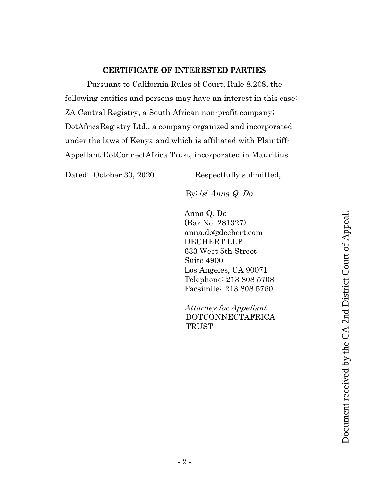# CERTIFICATE OF INTERESTED PARTIES

<span id="page-1-0"></span>Pursuant to California Rules of Court, Rule 8.208, the following entities and persons may have an interest in this case: ZA Central Registry, a South African non-profit company; DotAfricaRegistry Ltd., a company organized and incorporated under the laws of Kenya and which is affiliated with Plaintiff-Appellant DotConnectAfrica Trust, incorporated in Mauritius.

Dated: October 30, 2020 Respectfully submitted,

By: /s/ Anna Q. Do

Anna Q. Do (Bar No. 281327) anna.do@dechert.com DECHERT LLP 633 West 5th Street Suite 4900 Los Angeles, CA 90071 Telephone: 213 808 5708 Facsimile: 213 808 5760

Attorney for Appellant DOTCONNECTAFRICA TRUST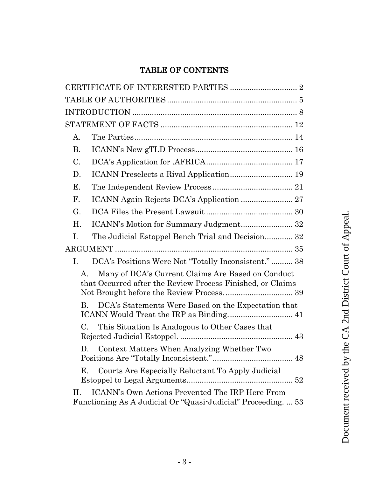# TABLE OF CONTENTS

| $A_{\cdot}$    |                                                                                                                  |
|----------------|------------------------------------------------------------------------------------------------------------------|
| <b>B.</b>      | $\text{ICANN's New gTLD Process}.\dots$                                                                          |
| C.             |                                                                                                                  |
| D.             |                                                                                                                  |
| Е.             |                                                                                                                  |
| $\mathbf{F}$ . |                                                                                                                  |
| G.             |                                                                                                                  |
| H.             | ICANN's Motion for Summary Judgment 32                                                                           |
| Ι.             | The Judicial Estoppel Bench Trial and Decision 32                                                                |
|                |                                                                                                                  |
| I.             | DCA's Positions Were Not "Totally Inconsistent."  38                                                             |
| А.             | Many of DCA's Current Claims Are Based on Conduct<br>that Occurred after the Review Process Finished, or Claims  |
| $\mathbf{B}$ . | DCA's Statements Were Based on the Expectation that                                                              |
| C.             | This Situation Is Analogous to Other Cases that                                                                  |
|                | D. Context Matters When Analyzing Whether Two                                                                    |
| Е.             | Courts Are Especially Reluctant To Apply Judicial                                                                |
| П.             | ICANN's Own Actions Prevented The IRP Here From<br>Functioning As A Judicial Or "Quasi-Judicial" Proceeding.  53 |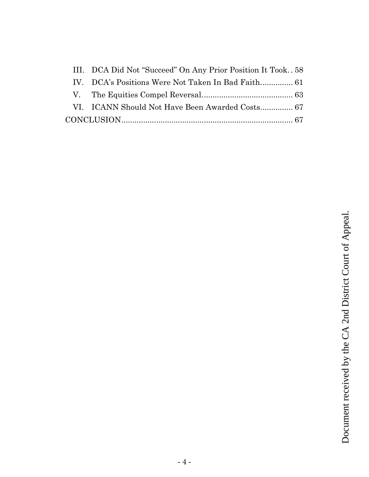| III. DCA Did Not "Succeed" On Any Prior Position It Took58 |  |
|------------------------------------------------------------|--|
|                                                            |  |
|                                                            |  |
|                                                            |  |
|                                                            |  |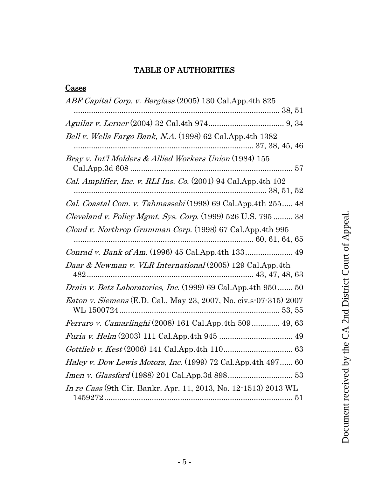# TABLE OF AUTHORITIES

<span id="page-4-0"></span>

| <b>Cases</b>                                                              |
|---------------------------------------------------------------------------|
| ABF Capital Corp. v. Berglass (2005) 130 Cal. App. 4th 825                |
|                                                                           |
|                                                                           |
| Bell v. Wells Fargo Bank, N.A. (1998) 62 Cal.App.4th 1382                 |
| Bray v. Int'l Molders & Allied Workers Union (1984) 155                   |
| <i>Cal. Amplifier, Inc. v. RLI Ins. Co.</i> $(2001)$ 94 Cal. App. 4th 102 |
| Cal. Coastal Com. v. Tahmassebi (1998) 69 Cal.App.4th 255 48              |
| Cleveland v. Policy Mgmt. Sys. Corp. (1999) 526 U.S. 795  38              |
| Cloud v. Northrop Grumman Corp. (1998) 67 Cal.App.4th 995                 |
| Conrad v. Bank of Am. (1996) 45 Cal.App.4th 133 49                        |
| Daar & Newman v. VLR International (2005) 129 Cal.App.4th                 |
| Drain v. Betz Laboratories, Inc. (1999) 69 Cal.App.4th 950 50             |
| <i>Eaton v. Siemens</i> (E.D. Cal., May 23, 2007, No. civ.s-07-315) 2007  |
| <i>Ferraro v. Camarlinghi</i> (2008) 161 Cal.App.4th 509 49, 63           |
|                                                                           |
|                                                                           |
| <i>Haley v. Dow Lewis Motors, Inc.</i> (1999) 72 Cal.App.4th 497 60       |
|                                                                           |
| In re Cass (9th Cir. Bankr. Apr. 11, 2013, No. 12-1513) 2013 WL           |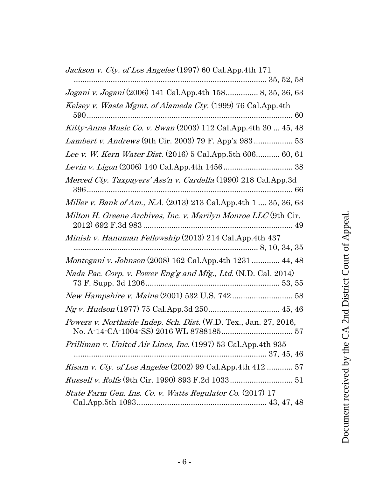| Jackson v. Cty. of Los Angeles (1997) 60 Cal.App.4th 171          |
|-------------------------------------------------------------------|
| Jogani v. Jogani (2006) 141 Cal.App.4th 158 8, 35, 36, 63         |
| Kelsey v. Waste Mgmt. of Alameda Cty. (1999) 76 Cal.App.4th       |
| Kitty-Anne Music Co. v. Swan (2003) 112 Cal.App.4th 30  45, 48    |
|                                                                   |
| Lee v. W. Kern Water Dist. (2016) 5 Cal. App. 5th 606 60, 61      |
|                                                                   |
| Merced Cty. Taxpayers' Ass'n v. Cardella (1990) 218 Cal.App.3d    |
| Miller v. Bank of Am., N.A. (2013) 213 Cal.App.4th 1  35, 36, 63  |
| Milton H. Greene Archives, Inc. v. Marilyn Monroe LLC (9th Cir.   |
| Minish v. Hanuman Fellowship (2013) 214 Cal.App.4th 437           |
| Montegani v. Johnson (2008) 162 Cal.App.4th 1231  44, 48          |
| Nada Pac. Corp. v. Power Eng'g and Mfg., Ltd. (N.D. Cal. 2014)    |
| New Hampshire v. Maine (2001) 532 U.S. 742  58                    |
|                                                                   |
| Powers v. Northside Indep. Sch. Dist. (W.D. Tex., Jan. 27, 2016,  |
| Prilliman v. United Air Lines, Inc. (1997) 53 Cal.App.4th 935     |
|                                                                   |
| <i>Risam v. Cty. of Los Angeles</i> (2002) 99 Cal.App.4th 412  57 |
|                                                                   |
| State Farm Gen. Ins. Co. v. Watts Regulator Co. (2017) 17         |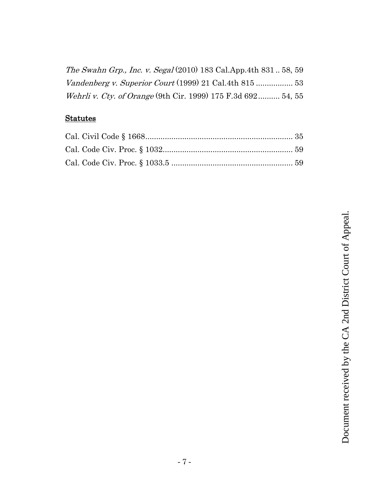| The Swahn Grp., Inc. v. Segal (2010) 183 Cal.App.4th 83158, 59 |  |
|----------------------------------------------------------------|--|
|                                                                |  |
| Wehrli v. Cty. of Orange (9th Cir. 1999) 175 F.3d 692 54, 55   |  |

# **Statutes**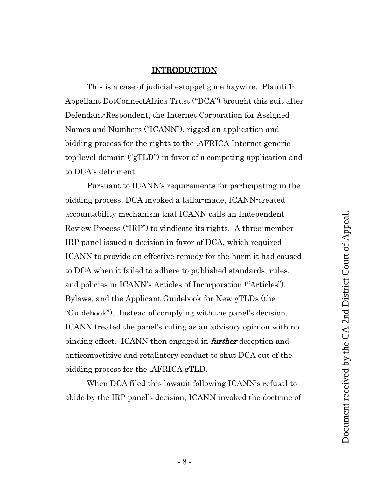#### INTRODUCTION

<span id="page-7-0"></span>This is a case of judicial estoppel gone haywire. Plaintiff-Appellant DotConnectAfrica Trust ("DCA") brought this suit after Defendant-Respondent, the Internet Corporation for Assigned Names and Numbers ("ICANN"), rigged an application and bidding process for the rights to the .AFRICA Internet generic top-level domain ("gTLD") in favor of a competing application and to DCA's detriment.

Pursuant to ICANN's requirements for participating in the bidding process, DCA invoked a tailor-made, ICANN-created accountability mechanism that ICANN calls an Independent Review Process ("IRP") to vindicate its rights. A three-member IRP panel issued a decision in favor of DCA, which required ICANN to provide an effective remedy for the harm it had caused to DCA when it failed to adhere to published standards, rules, and policies in ICANN's Articles of Incorporation ("Articles"), Bylaws, and the Applicant Guidebook for New gTLDs (the "Guidebook"). Instead of complying with the panel's decision, ICANN treated the panel's ruling as an advisory opinion with no binding effect. ICANN then engaged in **further** deception and anticompetitive and retaliatory conduct to shut DCA out of the bidding process for the .AFRICA gTLD.

When DCA filed this lawsuit following ICANN's refusal to abide by the IRP panel's decision, ICANN invoked the doctrine of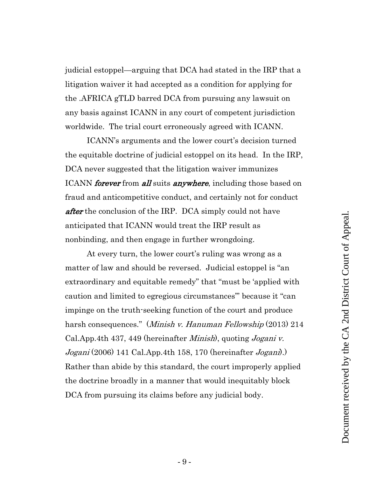judicial estoppel—arguing that DCA had stated in the IRP that a litigation waiver it had accepted as a condition for applying for the .AFRICA gTLD barred DCA from pursuing any lawsuit on any basis against ICANN in any court of competent jurisdiction worldwide. The trial court erroneously agreed with ICANN.

ICANN's arguments and the lower court's decision turned the equitable doctrine of judicial estoppel on its head. In the IRP, DCA never suggested that the litigation waiver immunizes ICANN *forever* from all suits anywhere, including those based on fraud and anticompetitive conduct, and certainly not for conduct after the conclusion of the IRP. DCA simply could not have anticipated that ICANN would treat the IRP result as nonbinding, and then engage in further wrongdoing.

At every turn, the lower court's ruling was wrong as a matter of law and should be reversed. Judicial estoppel is "an extraordinary and equitable remedy" that "must be 'applied with caution and limited to egregious circumstances'" because it "can impinge on the truth-seeking function of the court and produce harsh consequences." (*Minish v. Hanuman Fellowship* (2013) 214 Cal.App.4th 437, 449 (hereinafter *Minish*), quoting *Jogani v.*  $Jogani (2006)$  141 Cal.App.4th 158, 170 (hereinafter  $Jogani$ ). Rather than abide by this standard, the court improperly applied the doctrine broadly in a manner that would inequitably block DCA from pursuing its claims before any judicial body.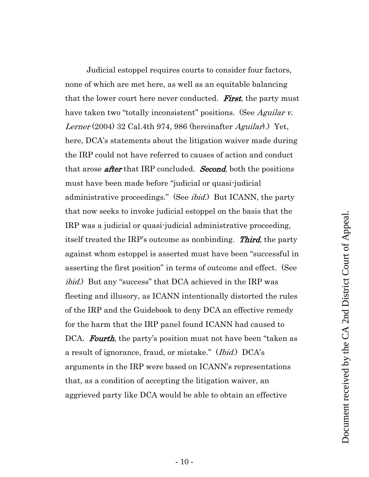Judicial estoppel requires courts to consider four factors, none of which are met here, as well as an equitable balancing that the lower court here never conducted. **First**, the party must have taken two "totally inconsistent" positions. (See Aguilar v. Lerner (2004) 32 Cal.4th 974, 986 (hereinafter  $Aguilar$ ).) Yet, here, DCA's statements about the litigation waiver made during the IRP could not have referred to causes of action and conduct that arose **after** that IRP concluded. **Second**, both the positions must have been made before "judicial or quasi-judicial administrative proceedings." (See *ibid.*) But ICANN, the party that now seeks to invoke judicial estoppel on the basis that the IRP was a judicial or quasi-judicial administrative proceeding, itself treated the IRP's outcome as nonbinding. Third, the party against whom estoppel is asserted must have been "successful in asserting the first position" in terms of outcome and effect. (See *ibid.*) But any "success" that DCA achieved in the IRP was fleeting and illusory, as ICANN intentionally distorted the rules of the IRP and the Guidebook to deny DCA an effective remedy for the harm that the IRP panel found ICANN had caused to DCA. **Fourth**, the party's position must not have been "taken as a result of ignorance, fraud, or mistake." (*Ibid.*) DCA's arguments in the IRP were based on ICANN's representations that, as a condition of accepting the litigation waiver, an aggrieved party like DCA would be able to obtain an effective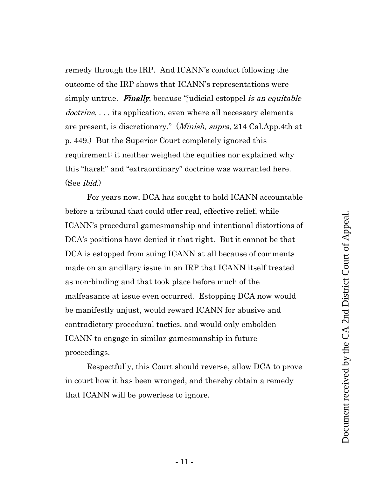remedy through the IRP. And ICANN's conduct following the outcome of the IRP shows that ICANN's representations were simply untrue. **Finally**, because "judicial estoppel *is an equitable* doctrine, ... its application, even where all necessary elements are present, is discretionary." (Minish, supra, 214 Cal.App.4th at p. 449.) But the Superior Court completely ignored this requirement: it neither weighed the equities nor explained why this "harsh" and "extraordinary" doctrine was warranted here. (See ibid.)

For years now, DCA has sought to hold ICANN accountable before a tribunal that could offer real, effective relief, while ICANN's procedural gamesmanship and intentional distortions of DCA's positions have denied it that right. But it cannot be that DCA is estopped from suing ICANN at all because of comments made on an ancillary issue in an IRP that ICANN itself treated as non-binding and that took place before much of the malfeasance at issue even occurred. Estopping DCA now would be manifestly unjust, would reward ICANN for abusive and contradictory procedural tactics, and would only embolden ICANN to engage in similar gamesmanship in future proceedings.

Respectfully, this Court should reverse, allow DCA to prove in court how it has been wronged, and thereby obtain a remedy that ICANN will be powerless to ignore.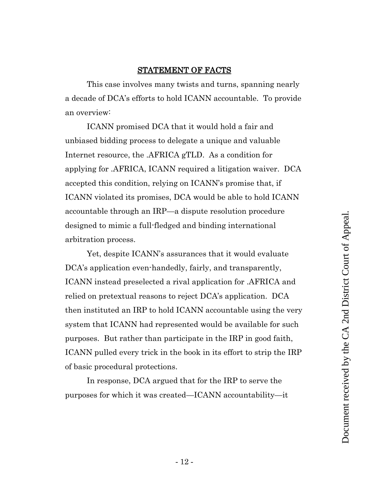# STATEMENT OF FACTS

<span id="page-11-0"></span>This case involves many twists and turns, spanning nearly a decade of DCA's efforts to hold ICANN accountable. To provide an overview:

ICANN promised DCA that it would hold a fair and unbiased bidding process to delegate a unique and valuable Internet resource, the .AFRICA gTLD. As a condition for applying for .AFRICA, ICANN required a litigation waiver. DCA accepted this condition, relying on ICANN's promise that, if ICANN violated its promises, DCA would be able to hold ICANN accountable through an IRP—a dispute resolution procedure designed to mimic a full-fledged and binding international arbitration process.

Yet, despite ICANN's assurances that it would evaluate DCA's application even-handedly, fairly, and transparently, ICANN instead preselected a rival application for .AFRICA and relied on pretextual reasons to reject DCA's application. DCA then instituted an IRP to hold ICANN accountable using the very system that ICANN had represented would be available for such purposes. But rather than participate in the IRP in good faith, ICANN pulled every trick in the book in its effort to strip the IRP of basic procedural protections.

In response, DCA argued that for the IRP to serve the purposes for which it was created—ICANN accountability—it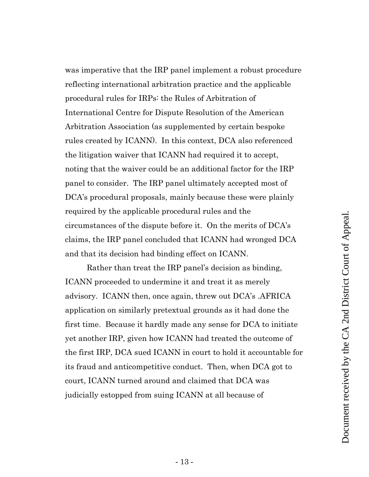was imperative that the IRP panel implement a robust procedure reflecting international arbitration practice and the applicable procedural rules for IRPs: the Rules of Arbitration of International Centre for Dispute Resolution of the American Arbitration Association (as supplemented by certain bespoke rules created by ICANN). In this context, DCA also referenced the litigation waiver that ICANN had required it to accept, noting that the waiver could be an additional factor for the IRP panel to consider. The IRP panel ultimately accepted most of DCA's procedural proposals, mainly because these were plainly required by the applicable procedural rules and the circumstances of the dispute before it. On the merits of DCA's claims, the IRP panel concluded that ICANN had wronged DCA and that its decision had binding effect on ICANN.

Rather than treat the IRP panel's decision as binding, ICANN proceeded to undermine it and treat it as merely advisory. ICANN then, once again, threw out DCA's .AFRICA application on similarly pretextual grounds as it had done the first time. Because it hardly made any sense for DCA to initiate yet another IRP, given how ICANN had treated the outcome of the first IRP, DCA sued ICANN in court to hold it accountable for its fraud and anticompetitive conduct. Then, when DCA got to court, ICANN turned around and claimed that DCA was judicially estopped from suing ICANN at all because of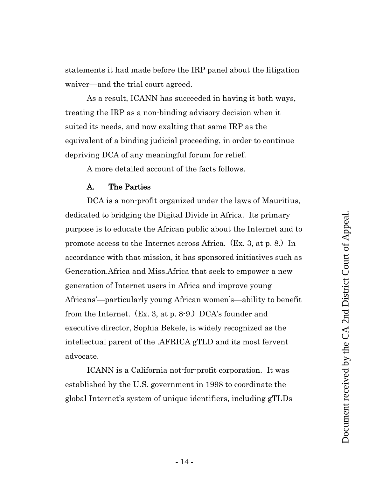statements it had made before the IRP panel about the litigation waiver—and the trial court agreed.

As a result, ICANN has succeeded in having it both ways, treating the IRP as a non-binding advisory decision when it suited its needs, and now exalting that same IRP as the equivalent of a binding judicial proceeding, in order to continue depriving DCA of any meaningful forum for relief.

A more detailed account of the facts follows.

#### A. The Parties

<span id="page-13-0"></span>DCA is a non-profit organized under the laws of Mauritius, dedicated to bridging the Digital Divide in Africa. Its primary purpose is to educate the African public about the Internet and to promote access to the Internet across Africa. (Ex. 3, at p. 8.) In accordance with that mission, it has sponsored initiatives such as Generation.Africa and Miss.Africa that seek to empower a new generation of Internet users in Africa and improve young Africans'—particularly young African women's—ability to benefit from the Internet. (Ex. 3, at p. 8-9.) DCA's founder and executive director, Sophia Bekele, is widely recognized as the intellectual parent of the .AFRICA gTLD and its most fervent advocate.

ICANN is a California not-for-profit corporation. It was established by the U.S. government in 1998 to coordinate the global Internet's system of unique identifiers, including gTLDs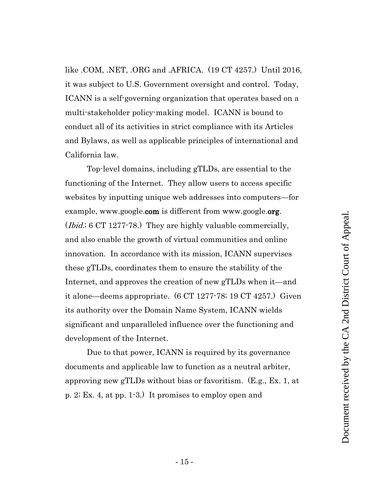like .COM, .NET, .ORG and .AFRICA. (19 CT 4257.) Until 2016, it was subject to U.S. Government oversight and control. Today, ICANN is a self-governing organization that operates based on a multi-stakeholder policy-making model. ICANN is bound to conduct all of its activities in strict compliance with its Articles and Bylaws, as well as applicable principles of international and California law.

Top-level domains, including gTLDs, are essential to the functioning of the Internet. They allow users to access specific websites by inputting unique web addresses into computers—for example, www.google.com is different from www.google.org. (*Ibid.*; 6 CT 1277-78.) They are highly valuable commercially, and also enable the growth of virtual communities and online innovation. In accordance with its mission, ICANN supervises these gTLDs, coordinates them to ensure the stability of the Internet, and approves the creation of new gTLDs when it—and it alone—deems appropriate. (6 CT 1277-78; 19 CT 4257.) Given its authority over the Domain Name System, ICANN wields significant and unparalleled influence over the functioning and development of the Internet.

Due to that power, ICANN is required by its governance documents and applicable law to function as a neutral arbiter, approving new gTLDs without bias or favoritism. (E.g., Ex. 1, at p. 2; Ex. 4, at pp. 1-3.) It promises to employ open and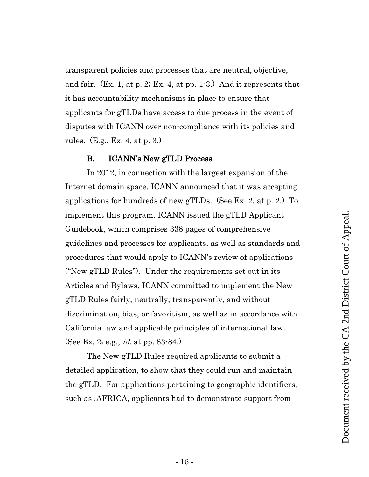transparent policies and processes that are neutral, objective, and fair. (Ex. 1, at p. 2; Ex. 4, at pp. 1-3.) And it represents that it has accountability mechanisms in place to ensure that applicants for gTLDs have access to due process in the event of disputes with ICANN over non-compliance with its policies and rules. (E.g., Ex. 4, at p. 3.)

#### B. ICANN's New gTLD Process

<span id="page-15-0"></span>In 2012, in connection with the largest expansion of the Internet domain space, ICANN announced that it was accepting applications for hundreds of new gTLDs. (See Ex. 2, at p. 2.) To implement this program, ICANN issued the gTLD Applicant Guidebook, which comprises 338 pages of comprehensive guidelines and processes for applicants, as well as standards and procedures that would apply to ICANN's review of applications ("New gTLD Rules"). Under the requirements set out in its Articles and Bylaws, ICANN committed to implement the New gTLD Rules fairly, neutrally, transparently, and without discrimination, bias, or favoritism, as well as in accordance with California law and applicable principles of international law. (See Ex. 2; e.g., id. at pp. 83-84.)

The New gTLD Rules required applicants to submit a detailed application, to show that they could run and maintain the gTLD. For applications pertaining to geographic identifiers, such as .AFRICA, applicants had to demonstrate support from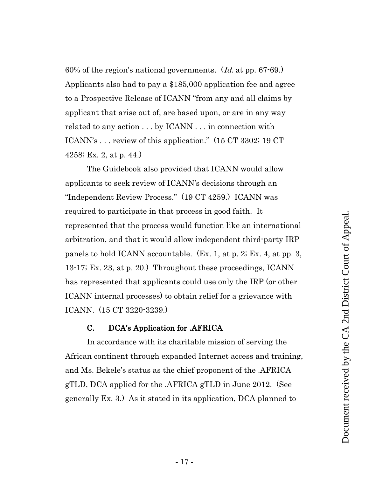60% of the region's national governments.  $(Id. 4t$  pp. 67-69. Applicants also had to pay a \$185,000 application fee and agree to a Prospective Release of ICANN "from any and all claims by applicant that arise out of, are based upon, or are in any way related to any action . . . by ICANN . . . in connection with ICANN's . . . review of this application." (15 CT 3302; 19 CT 4258; Ex. 2, at p. 44.)

The Guidebook also provided that ICANN would allow applicants to seek review of ICANN's decisions through an "Independent Review Process." (19 CT 4259.) ICANN was required to participate in that process in good faith. It represented that the process would function like an international arbitration, and that it would allow independent third-party IRP panels to hold ICANN accountable. (Ex. 1, at p. 2; Ex. 4, at pp. 3, 13-17; Ex. 23, at p. 20.) Throughout these proceedings, ICANN has represented that applicants could use only the IRP (or other ICANN internal processes) to obtain relief for a grievance with ICANN. (15 CT 3220-3239.)

# C. DCA's Application for .AFRICA

<span id="page-16-0"></span>In accordance with its charitable mission of serving the African continent through expanded Internet access and training, and Ms. Bekele's status as the chief proponent of the .AFRICA gTLD, DCA applied for the .AFRICA gTLD in June 2012. (See generally Ex. 3.) As it stated in its application, DCA planned to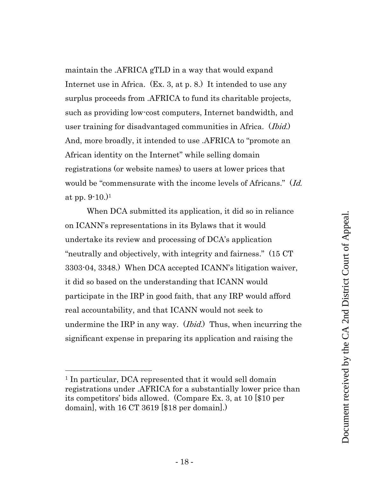maintain the .AFRICA gTLD in a way that would expand Internet use in Africa. (Ex. 3, at p. 8.) It intended to use any surplus proceeds from .AFRICA to fund its charitable projects, such as providing low-cost computers, Internet bandwidth, and user training for disadvantaged communities in Africa. (*Ibid.*) And, more broadly, it intended to use .AFRICA to "promote an African identity on the Internet" while selling domain registrations (or website names) to users at lower prices that would be "commensurate with the income levels of Africans." (Id. at pp.  $9-10.$ )<sup>1</sup>

When DCA submitted its application, it did so in reliance on ICANN's representations in its Bylaws that it would undertake its review and processing of DCA's application "neutrally and objectively, with integrity and fairness." (15 CT 3303-04, 3348.) When DCA accepted ICANN's litigation waiver, it did so based on the understanding that ICANN would participate in the IRP in good faith, that any IRP would afford real accountability, and that ICANN would not seek to undermine the IRP in any way. *(Ibid.)* Thus, when incurring the significant expense in preparing its application and raising the

<sup>1</sup> In particular, DCA represented that it would sell domain registrations under .AFRICA for a substantially lower price than its competitors' bids allowed. (Compare Ex. 3, at 10 [\$10 per domain], with 16 CT 3619 [\$18 per domain].)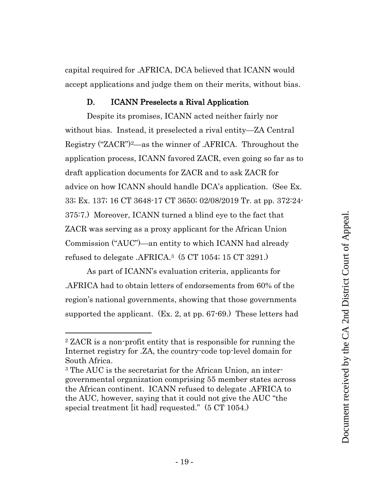capital required for .AFRICA, DCA believed that ICANN would accept applications and judge them on their merits, without bias.

#### <span id="page-18-0"></span>D. ICANN Preselects a Rival Application

Despite its promises, ICANN acted neither fairly nor without bias. Instead, it preselected a rival entity—ZA Central Registry ("ZACR")2—as the winner of .AFRICA. Throughout the application process, ICANN favored ZACR, even going so far as to draft application documents for ZACR and to ask ZACR for advice on how ICANN should handle DCA's application. (See Ex. 33; Ex. 137; 16 CT 3648-17 CT 3650; 02/08/2019 Tr. at pp. 372:24- 375:7.) Moreover, ICANN turned a blind eye to the fact that ZACR was serving as a proxy applicant for the African Union Commission ("AUC")—an entity to which ICANN had already refused to delegate .AFRICA. <sup>3</sup> (5 CT 1054; 15 CT 3291.)

As part of ICANN's evaluation criteria, applicants for .AFRICA had to obtain letters of endorsements from 60% of the region's national governments, showing that those governments supported the applicant. (Ex. 2, at pp. 67-69.) These letters had

<sup>2</sup> ZACR is a non-profit entity that is responsible for running the Internet registry for .ZA, the country-code top-level domain for South Africa.

<sup>3</sup> The AUC is the secretariat for the African Union, an intergovernmental organization comprising 55 member states across the African continent. ICANN refused to delegate .AFRICA to the AUC, however, saying that it could not give the AUC "the special treatment [it had] requested." (5 CT 1054.)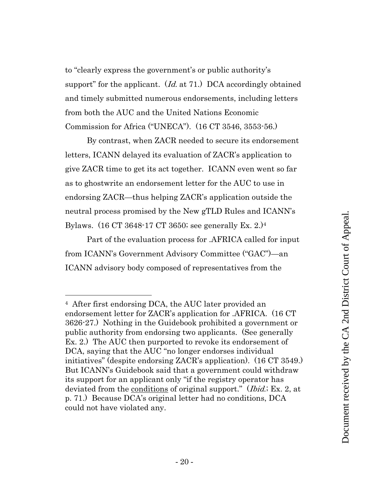to "clearly express the government's or public authority's support" for the applicant.  $(Id.$  at 71.) DCA accordingly obtained and timely submitted numerous endorsements, including letters from both the AUC and the United Nations Economic Commission for Africa ("UNECA"). (16 CT 3546, 3553-56.)

By contrast, when ZACR needed to secure its endorsement letters, ICANN delayed its evaluation of ZACR's application to give ZACR time to get its act together. ICANN even went so far as to ghostwrite an endorsement letter for the AUC to use in endorsing ZACR—thus helping ZACR's application outside the neutral process promised by the New gTLD Rules and ICANN's Bylaws. (16 CT 3648-17 CT 3650; see generally Ex. 2.)<sup>4</sup>

Part of the evaluation process for .AFRICA called for input from ICANN's Government Advisory Committee ("GAC")—an ICANN advisory body composed of representatives from the

<sup>4</sup> After first endorsing DCA, the AUC later provided an endorsement letter for ZACR's application for .AFRICA. (16 CT 3626-27.) Nothing in the Guidebook prohibited a government or public authority from endorsing two applicants. (See generally Ex. 2.) The AUC then purported to revoke its endorsement of DCA, saying that the AUC "no longer endorses individual initiatives" (despite endorsing ZACR's application). (16 CT 3549.) But ICANN's Guidebook said that a government could withdraw its support for an applicant only "if the registry operator has deviated from the <u>conditions</u> of original support." (*Ibid.*; Ex. 2, at p. 71.) Because DCA's original letter had no conditions, DCA could not have violated any.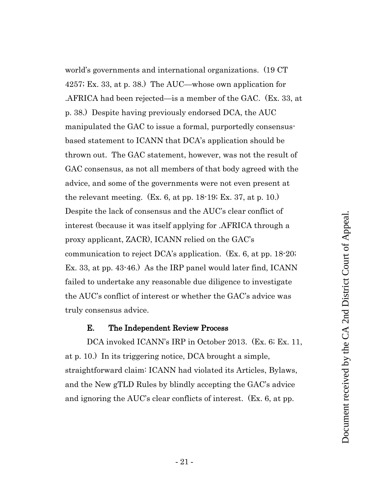world's governments and international organizations. (19 CT 4257; Ex. 33, at p. 38.) The AUC—whose own application for .AFRICA had been rejected—is a member of the GAC. (Ex. 33, at p. 38.) Despite having previously endorsed DCA, the AUC manipulated the GAC to issue a formal, purportedly consensusbased statement to ICANN that DCA's application should be thrown out. The GAC statement, however, was not the result of GAC consensus, as not all members of that body agreed with the advice, and some of the governments were not even present at the relevant meeting. (Ex. 6, at pp. 18-19; Ex. 37, at p. 10.) Despite the lack of consensus and the AUC's clear conflict of interest (because it was itself applying for .AFRICA through a proxy applicant, ZACR), ICANN relied on the GAC's communication to reject DCA's application. (Ex. 6, at pp. 18-20; Ex. 33, at pp. 43-46.) As the IRP panel would later find, ICANN failed to undertake any reasonable due diligence to investigate the AUC's conflict of interest or whether the GAC's advice was truly consensus advice.

#### E. The Independent Review Process

<span id="page-20-0"></span>DCA invoked ICANN's IRP in October 2013. (Ex. 6; Ex. 11, at p. 10.) In its triggering notice, DCA brought a simple, straightforward claim: ICANN had violated its Articles, Bylaws, and the New gTLD Rules by blindly accepting the GAC's advice and ignoring the AUC's clear conflicts of interest. (Ex. 6, at pp.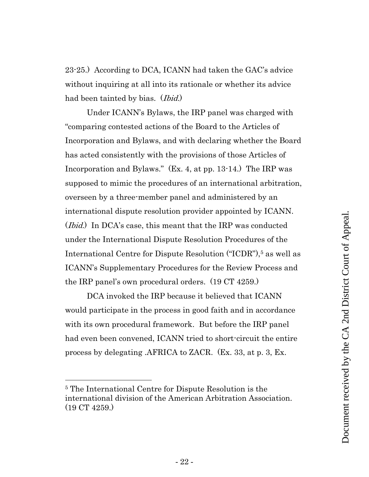23-25.) According to DCA, ICANN had taken the GAC's advice without inquiring at all into its rationale or whether its advice had been tainted by bias. (*Ibid.*)

Under ICANN's Bylaws, the IRP panel was charged with "comparing contested actions of the Board to the Articles of Incorporation and Bylaws, and with declaring whether the Board has acted consistently with the provisions of those Articles of Incorporation and Bylaws." (Ex. 4, at pp. 13-14.) The IRP was supposed to mimic the procedures of an international arbitration, overseen by a three-member panel and administered by an international dispute resolution provider appointed by ICANN. (*Ibid.*) In DCA's case, this meant that the IRP was conducted under the International Dispute Resolution Procedures of the International Centre for Dispute Resolution ("ICDR"), <sup>5</sup> as well as ICANN's Supplementary Procedures for the Review Process and the IRP panel's own procedural orders. (19 CT 4259.)

DCA invoked the IRP because it believed that ICANN would participate in the process in good faith and in accordance with its own procedural framework. But before the IRP panel had even been convened, ICANN tried to short-circuit the entire process by delegating .AFRICA to ZACR. (Ex. 33, at p. 3, Ex.

<sup>5</sup> The International Centre for Dispute Resolution is the international division of the American Arbitration Association. (19 CT 4259.)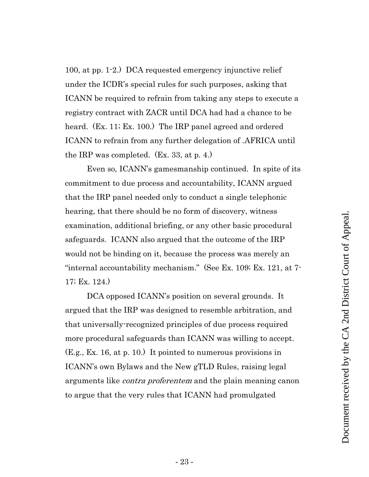100, at pp. 1-2.) DCA requested emergency injunctive relief under the ICDR's special rules for such purposes, asking that ICANN be required to refrain from taking any steps to execute a registry contract with ZACR until DCA had had a chance to be heard. (Ex. 11; Ex. 100.) The IRP panel agreed and ordered ICANN to refrain from any further delegation of .AFRICA until the IRP was completed. (Ex. 33, at p. 4.)

 Even so, ICANN's gamesmanship continued. In spite of its commitment to due process and accountability, ICANN argued that the IRP panel needed only to conduct a single telephonic hearing, that there should be no form of discovery, witness examination, additional briefing, or any other basic procedural safeguards. ICANN also argued that the outcome of the IRP would not be binding on it, because the process was merely an "internal accountability mechanism." (See Ex. 109; Ex. 121, at 7- 17; Ex. 124.)

DCA opposed ICANN's position on several grounds. It argued that the IRP was designed to resemble arbitration, and that universally-recognized principles of due process required more procedural safeguards than ICANN was willing to accept. (E.g., Ex. 16, at p. 10.) It pointed to numerous provisions in ICANN's own Bylaws and the New gTLD Rules, raising legal arguments like *contra proferentem* and the plain meaning canon to argue that the very rules that ICANN had promulgated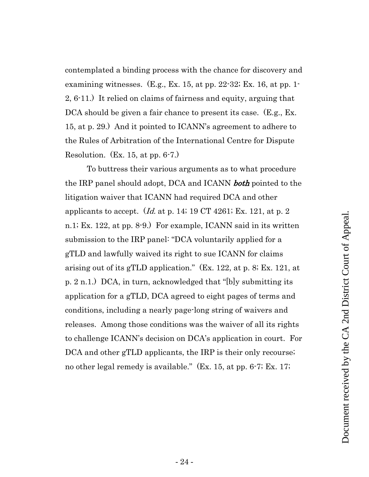contemplated a binding process with the chance for discovery and examining witnesses. (E.g., Ex. 15, at pp. 22-32; Ex. 16, at pp. 1- 2, 6-11.) It relied on claims of fairness and equity, arguing that DCA should be given a fair chance to present its case. (E.g., Ex. 15, at p. 29.) And it pointed to ICANN's agreement to adhere to the Rules of Arbitration of the International Centre for Dispute Resolution. (Ex. 15, at pp. 6-7.)

To buttress their various arguments as to what procedure the IRP panel should adopt, DCA and ICANN **both** pointed to the litigation waiver that ICANN had required DCA and other applicants to accept. (*Id.* at p. 14; 19 CT 4261; Ex. 121, at p. 2) n.1; Ex. 122, at pp. 8-9.) For example, ICANN said in its written submission to the IRP panel: "DCA voluntarily applied for a gTLD and lawfully waived its right to sue ICANN for claims arising out of its gTLD application." (Ex. 122, at p. 8; Ex. 121, at p. 2 n.1.) DCA, in turn, acknowledged that "[b]y submitting its application for a gTLD, DCA agreed to eight pages of terms and conditions, including a nearly page-long string of waivers and releases. Among those conditions was the waiver of all its rights to challenge ICANN's decision on DCA's application in court. For DCA and other gTLD applicants, the IRP is their only recourse; no other legal remedy is available." (Ex. 15, at pp. 6-7; Ex. 17;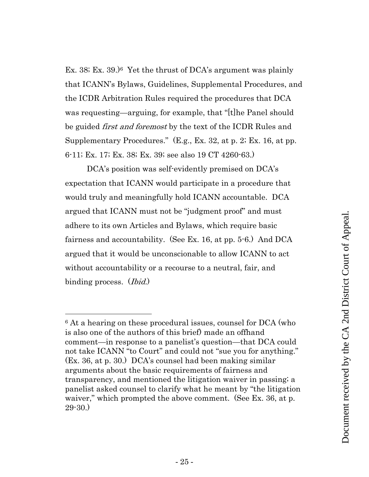Ex. 38; Ex. 39.) <sup>6</sup> Yet the thrust of DCA's argument was plainly that ICANN's Bylaws, Guidelines, Supplemental Procedures, and the ICDR Arbitration Rules required the procedures that DCA was requesting—arguing, for example, that "[t]he Panel should be guided *first and foremost* by the text of the ICDR Rules and Supplementary Procedures." (E.g., Ex. 32, at p. 2; Ex. 16, at pp. 6-11; Ex. 17; Ex. 38; Ex. 39; see also 19 CT 4260-63.)

DCA's position was self-evidently premised on DCA's expectation that ICANN would participate in a procedure that would truly and meaningfully hold ICANN accountable. DCA argued that ICANN must not be "judgment proof" and must adhere to its own Articles and Bylaws, which require basic fairness and accountability. (See Ex. 16, at pp. 5-6.) And DCA argued that it would be unconscionable to allow ICANN to act without accountability or a recourse to a neutral, fair, and binding process. (*Ibid.*)

<sup>&</sup>lt;sup>6</sup> At a hearing on these procedural issues, counsel for DCA (who is also one of the authors of this brief) made an offhand comment—in response to a panelist's question—that DCA could not take ICANN "to Court" and could not "sue you for anything." (Ex. 36, at p. 30.) DCA's counsel had been making similar arguments about the basic requirements of fairness and transparency, and mentioned the litigation waiver in passing; a panelist asked counsel to clarify what he meant by "the litigation waiver," which prompted the above comment. (See Ex. 36, at p. 29-30.)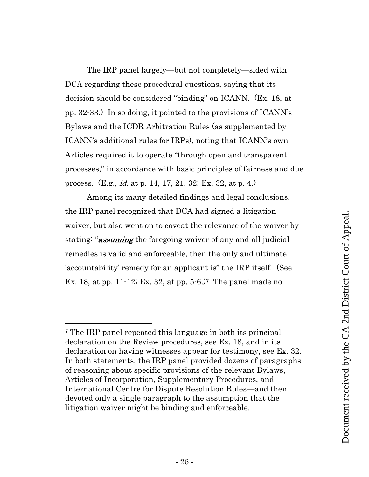The IRP panel largely—but not completely—sided with DCA regarding these procedural questions, saying that its decision should be considered "binding" on ICANN. (Ex. 18, at pp. 32-33.) In so doing, it pointed to the provisions of ICANN's Bylaws and the ICDR Arbitration Rules (as supplemented by ICANN's additional rules for IRPs), noting that ICANN's own Articles required it to operate "through open and transparent processes," in accordance with basic principles of fairness and due process. (E.g., id. at p. 14, 17, 21, 32; Ex. 32, at p. 4.)

Among its many detailed findings and legal conclusions, the IRP panel recognized that DCA had signed a litigation waiver, but also went on to caveat the relevance of the waiver by stating: "**assuming** the foregoing waiver of any and all judicial remedies is valid and enforceable, then the only and ultimate 'accountability' remedy for an applicant is" the IRP itself. (See Ex. 18, at pp. 11-12; Ex. 32, at pp. 5-6.) <sup>7</sup> The panel made no

<sup>7</sup> The IRP panel repeated this language in both its principal declaration on the Review procedures, see Ex. 18, and in its declaration on having witnesses appear for testimony, see Ex. 32. In both statements, the IRP panel provided dozens of paragraphs of reasoning about specific provisions of the relevant Bylaws, Articles of Incorporation, Supplementary Procedures, and International Centre for Dispute Resolution Rules—and then devoted only a single paragraph to the assumption that the litigation waiver might be binding and enforceable.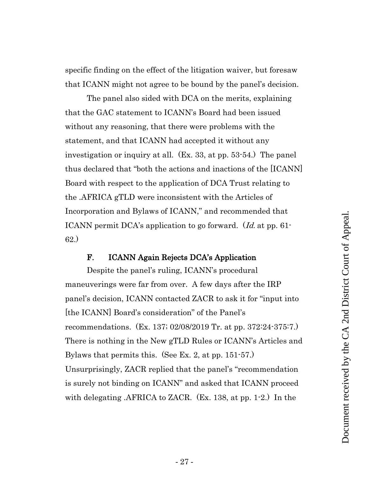specific finding on the effect of the litigation waiver, but foresaw that ICANN might not agree to be bound by the panel's decision.

The panel also sided with DCA on the merits, explaining that the GAC statement to ICANN's Board had been issued without any reasoning, that there were problems with the statement, and that ICANN had accepted it without any investigation or inquiry at all. (Ex. 33, at pp. 53-54.) The panel thus declared that "both the actions and inactions of the [ICANN] Board with respect to the application of DCA Trust relating to the .AFRICA gTLD were inconsistent with the Articles of Incorporation and Bylaws of ICANN," and recommended that ICANN permit DCA's application to go forward. (Id. at pp. 61-62.)

#### F. ICANN Again Rejects DCA's Application

<span id="page-26-0"></span>Despite the panel's ruling, ICANN's procedural maneuverings were far from over. A few days after the IRP panel's decision, ICANN contacted ZACR to ask it for "input into [the ICANN] Board's consideration" of the Panel's recommendations. (Ex. 137; 02/08/2019 Tr. at pp. 372:24-375:7.) There is nothing in the New gTLD Rules or ICANN's Articles and Bylaws that permits this. (See Ex. 2, at pp. 151-57.) Unsurprisingly, ZACR replied that the panel's "recommendation is surely not binding on ICANN" and asked that ICANN proceed with delegating .AFRICA to ZACR. (Ex. 138, at pp. 1-2.) In the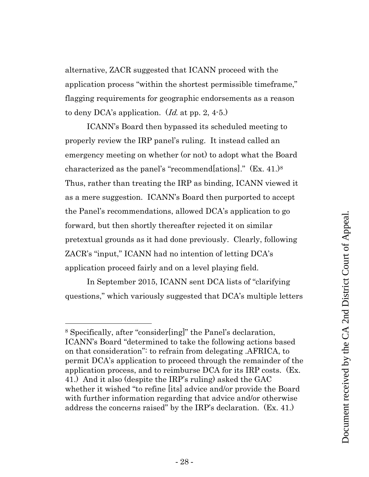alternative, ZACR suggested that ICANN proceed with the application process "within the shortest permissible timeframe," flagging requirements for geographic endorsements as a reason to deny DCA's application.  $(Id.$  at pp. 2, 4-5.)

ICANN's Board then bypassed its scheduled meeting to properly review the IRP panel's ruling. It instead called an emergency meeting on whether (or not) to adopt what the Board characterized as the panel's "recommend[ations]." (Ex. 41.)<sup>8</sup> Thus, rather than treating the IRP as binding, ICANN viewed it as a mere suggestion. ICANN's Board then purported to accept the Panel's recommendations, allowed DCA's application to go forward, but then shortly thereafter rejected it on similar pretextual grounds as it had done previously. Clearly, following ZACR's "input," ICANN had no intention of letting DCA's application proceed fairly and on a level playing field.

In September 2015, ICANN sent DCA lists of "clarifying questions," which variously suggested that DCA's multiple letters

<sup>8</sup> Specifically, after "consider[ing]" the Panel's declaration, ICANN's Board "determined to take the following actions based on that consideration": to refrain from delegating .AFRICA, to permit DCA's application to proceed through the remainder of the application process, and to reimburse DCA for its IRP costs. (Ex. 41.) And it also (despite the IRP's ruling) asked the GAC whether it wished "to refine [its] advice and/or provide the Board with further information regarding that advice and/or otherwise address the concerns raised" by the IRP's declaration. (Ex. 41.)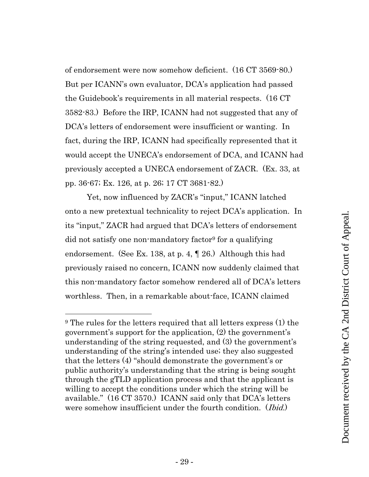of endorsement were now somehow deficient. (16 CT 3569-80.) But per ICANN's own evaluator, DCA's application had passed the Guidebook's requirements in all material respects. (16 CT 3582-83.) Before the IRP, ICANN had not suggested that any of DCA's letters of endorsement were insufficient or wanting. In fact, during the IRP, ICANN had specifically represented that it would accept the UNECA's endorsement of DCA, and ICANN had previously accepted a UNECA endorsement of ZACR. (Ex. 33, at pp. 36-67; Ex. 126, at p. 26; 17 CT 3681-82.)

Yet, now influenced by ZACR's "input," ICANN latched onto a new pretextual technicality to reject DCA's application. In its "input," ZACR had argued that DCA's letters of endorsement did not satisfy one non-mandatory factor<sup>9</sup> for a qualifying endorsement. (See Ex. 138, at p. 4, ¶ 26.) Although this had previously raised no concern, ICANN now suddenly claimed that this non-mandatory factor somehow rendered all of DCA's letters worthless. Then, in a remarkable about-face, ICANN claimed

<sup>&</sup>lt;sup>9</sup> The rules for the letters required that all letters express (1) the government's support for the application, (2) the government's understanding of the string requested, and (3) the government's understanding of the string's intended use; they also suggested that the letters (4) "should demonstrate the government's or public authority's understanding that the string is being sought through the gTLD application process and that the applicant is willing to accept the conditions under which the string will be available." (16 CT 3570.) ICANN said only that DCA's letters were somehow insufficient under the fourth condition. (*Ibid.*)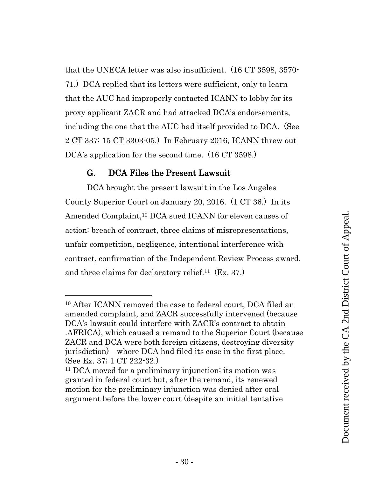that the UNECA letter was also insufficient. (16 CT 3598, 3570- 71.) DCA replied that its letters were sufficient, only to learn that the AUC had improperly contacted ICANN to lobby for its proxy applicant ZACR and had attacked DCA's endorsements, including the one that the AUC had itself provided to DCA. (See 2 CT 337; 15 CT 3303-05.) In February 2016, ICANN threw out DCA's application for the second time. (16 CT 3598.)

# G. DCA Files the Present Lawsuit

<span id="page-29-0"></span>DCA brought the present lawsuit in the Los Angeles County Superior Court on January 20, 2016. (1 CT 36.) In its Amended Complaint,<sup>10</sup> DCA sued ICANN for eleven causes of action: breach of contract, three claims of misrepresentations, unfair competition, negligence, intentional interference with contract, confirmation of the Independent Review Process award, and three claims for declaratory relief.11 (Ex. 37.)

<sup>10</sup> After ICANN removed the case to federal court, DCA filed an amended complaint, and ZACR successfully intervened (because DCA's lawsuit could interfere with ZACR's contract to obtain .AFRICA), which caused a remand to the Superior Court (because ZACR and DCA were both foreign citizens, destroying diversity jurisdiction)—where DCA had filed its case in the first place. (See Ex. 37; 1 CT 222-32.)

<sup>11</sup> DCA moved for a preliminary injunction; its motion was granted in federal court but, after the remand, its renewed motion for the preliminary injunction was denied after oral argument before the lower court (despite an initial tentative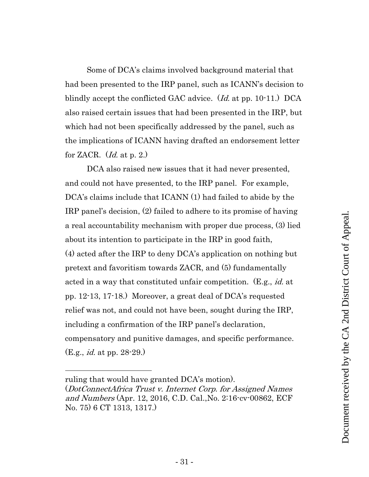Some of DCA's claims involved background material that had been presented to the IRP panel, such as ICANN's decision to blindly accept the conflicted GAC advice. (*Id.* at pp. 10-11.) DCA also raised certain issues that had been presented in the IRP, but which had not been specifically addressed by the panel, such as the implications of ICANN having drafted an endorsement letter for ZACR.  $(id.$  at p. 2.)

DCA also raised new issues that it had never presented, and could not have presented, to the IRP panel. For example, DCA's claims include that ICANN (1) had failed to abide by the IRP panel's decision, (2) failed to adhere to its promise of having a real accountability mechanism with proper due process, (3) lied about its intention to participate in the IRP in good faith, (4) acted after the IRP to deny DCA's application on nothing but pretext and favoritism towards ZACR, and (5) fundamentally acted in a way that constituted unfair competition. (E.g., *id.* at pp. 12-13, 17-18.) Moreover, a great deal of DCA's requested relief was not, and could not have been, sought during the IRP, including a confirmation of the IRP panel's declaration, compensatory and punitive damages, and specific performance. (E.g., id. at pp. 28-29.)

ruling that would have granted DCA's motion).

<sup>(</sup>DotConnectAfrica Trust v. Internet Corp. for Assigned Names and Numbers (Apr. 12, 2016, C.D. Cal.,No. 2:16-cv-00862, ECF No. 75) 6 CT 1313, 1317.)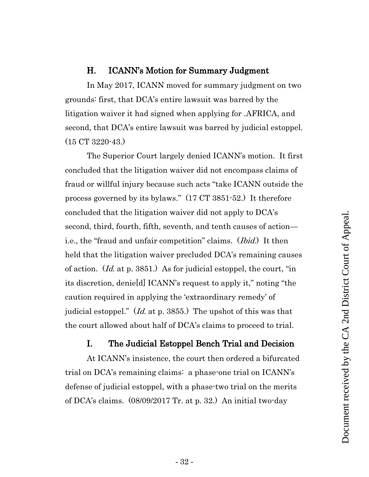# H. ICANN's Motion for Summary Judgment

<span id="page-31-0"></span>In May 2017, ICANN moved for summary judgment on two grounds: first, that DCA's entire lawsuit was barred by the litigation waiver it had signed when applying for .AFRICA, and second, that DCA's entire lawsuit was barred by judicial estoppel. (15 CT 3220-43.)

The Superior Court largely denied ICANN's motion. It first concluded that the litigation waiver did not encompass claims of fraud or willful injury because such acts "take ICANN outside the process governed by its bylaws." (17 CT 3851-52.) It therefore concluded that the litigation waiver did not apply to DCA's second, third, fourth, fifth, seventh, and tenth causes of action i.e., the "fraud and unfair competition" claims. (*Ibid.*) It then held that the litigation waiver precluded DCA's remaining causes of action. (Id. at p. 3851.) As for judicial estoppel, the court, "in its discretion, denie[d] ICANN's request to apply it," noting "the caution required in applying the 'extraordinary remedy' of judicial estoppel." (Id. at p. 3855.) The upshot of this was that the court allowed about half of DCA's claims to proceed to trial.

# I. The Judicial Estoppel Bench Trial and Decision

<span id="page-31-1"></span>At ICANN's insistence, the court then ordered a bifurcated trial on DCA's remaining claims: a phase-one trial on ICANN's defense of judicial estoppel, with a phase-two trial on the merits of DCA's claims. (08/09/2017 Tr. at p. 32.) An initial two-day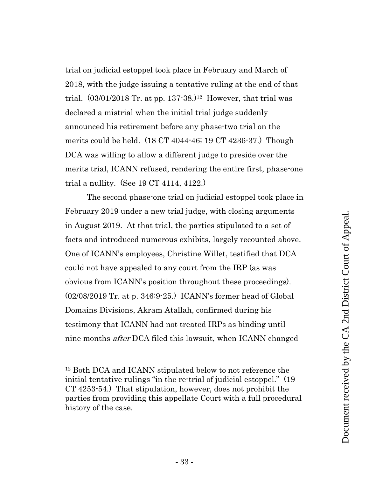trial on judicial estoppel took place in February and March of 2018, with the judge issuing a tentative ruling at the end of that trial.  $(03/01/2018 \text{ Tr. at pp. } 137 \cdot 38.)$ <sup>12</sup> However, that trial was declared a mistrial when the initial trial judge suddenly announced his retirement before any phase-two trial on the merits could be held. (18 CT 4044-46; 19 CT 4236-37.) Though DCA was willing to allow a different judge to preside over the merits trial, ICANN refused, rendering the entire first, phase-one trial a nullity. (See 19 CT 4114, 4122.)

The second phase-one trial on judicial estoppel took place in February 2019 under a new trial judge, with closing arguments in August 2019. At that trial, the parties stipulated to a set of facts and introduced numerous exhibits, largely recounted above. One of ICANN's employees, Christine Willet, testified that DCA could not have appealed to any court from the IRP (as was obvious from ICANN's position throughout these proceedings). (02/08/2019 Tr. at p. 346:9-25.) ICANN's former head of Global Domains Divisions, Akram Atallah, confirmed during his testimony that ICANN had not treated IRPs as binding until nine months after DCA filed this lawsuit, when ICANN changed

<sup>12</sup> Both DCA and ICANN stipulated below to not reference the initial tentative rulings "in the re-trial of judicial estoppel." (19 CT 4253-54.) That stipulation, however, does not prohibit the parties from providing this appellate Court with a full procedural history of the case.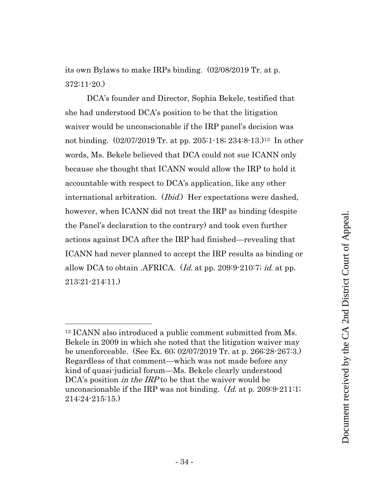its own Bylaws to make IRPs binding. (02/08/2019 Tr. at p. 372:11-20.)

DCA's founder and Director, Sophia Bekele, testified that she had understood DCA's position to be that the litigation waiver would be unconscionable if the IRP panel's decision was not binding. (02/07/2019 Tr. at pp. 205:1-18; 234:8-13.)13 In other words, Ms. Bekele believed that DCA could not sue ICANN only because she thought that ICANN would allow the IRP to hold it accountable with respect to DCA's application, like any other international arbitration. *(Ibid.)* Her expectations were dashed, however, when ICANN did not treat the IRP as binding (despite the Panel's declaration to the contrary) and took even further actions against DCA after the IRP had finished—revealing that ICANN had never planned to accept the IRP results as binding or allow DCA to obtain .AFRICA. (*Id.* at pp. 209:9-210:7; *id.* at pp. 213:21-214:11.)

<sup>13</sup> ICANN also introduced a public comment submitted from Ms. Bekele in 2009 in which she noted that the litigation waiver may be unenforceable. (See Ex. 60; 02/07/2019 Tr. at p. 266:28-267:3.) Regardless of that comment—which was not made before any kind of quasi-judicial forum—Ms. Bekele clearly understood DCA's position *in the IRP* to be that the waiver would be unconscionable if the IRP was not binding. (Id. at p. 209:9-211:1; 214:24-215:15.)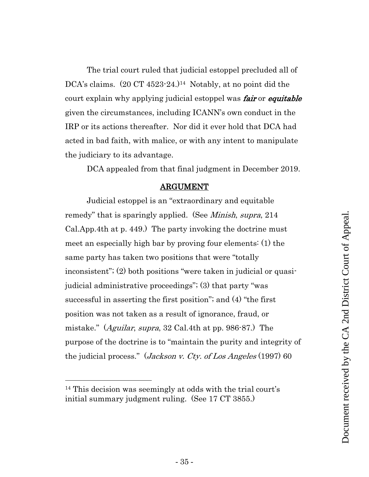The trial court ruled that judicial estoppel precluded all of DCA's claims. (20 CT 4523-24.)<sup>14</sup> Notably, at no point did the court explain why applying judicial estoppel was *fair* or *equitable* given the circumstances, including ICANN's own conduct in the IRP or its actions thereafter. Nor did it ever hold that DCA had acted in bad faith, with malice, or with any intent to manipulate the judiciary to its advantage.

DCA appealed from that final judgment in December 2019.

#### ARGUMENT

<span id="page-34-0"></span>Judicial estoppel is an "extraordinary and equitable remedy" that is sparingly applied. (See *Minish, supra*, 214) Cal.App.4th at p. 449.) The party invoking the doctrine must meet an especially high bar by proving four elements: (1) the same party has taken two positions that were "totally inconsistent"; (2) both positions "were taken in judicial or quasijudicial administrative proceedings"; (3) that party "was successful in asserting the first position"; and (4) "the first position was not taken as a result of ignorance, fraud, or mistake." (Aguilar, supra, 32 Cal.4th at pp. 986-87.) The purpose of the doctrine is to "maintain the purity and integrity of the judicial process." (*Jackson v. Cty. of Los Angeles* (1997) 60

<sup>14</sup> This decision was seemingly at odds with the trial court's initial summary judgment ruling. (See 17 CT 3855.)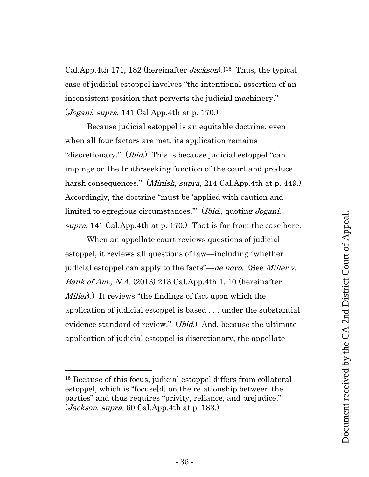Cal.App.4th 171, 182 (hereinafter *Jackson*).)<sup>15</sup> Thus, the typical case of judicial estoppel involves "the intentional assertion of an inconsistent position that perverts the judicial machinery."  $(Jogani, supra, 141 Cal. App. 4th at p. 170.)$ 

Because judicial estoppel is an equitable doctrine, even when all four factors are met, its application remains "discretionary." (*Ibid.*) This is because judicial estoppel "can impinge on the truth-seeking function of the court and produce harsh consequences." (*Minish, supra*, 214 Cal.App.4th at p. 449.) Accordingly, the doctrine "must be 'applied with caution and limited to egregious circumstances." (*Ibid.*, quoting *Jogani*, supra, 141 Cal.App.4th at p. 170.) That is far from the case here.

When an appellate court reviews questions of judicial estoppel, it reviews all questions of law—including "whether judicial estoppel can apply to the facts"—de novo. (See Miller v. Bank of Am., N.A. (2013) 213 Cal.App.4th 1, 10 (hereinafter *Miller*).) It reviews "the findings of fact upon which the application of judicial estoppel is based . . . under the substantial evidence standard of review." (*Ibid.*) And, because the ultimate application of judicial estoppel is discretionary, the appellate

<sup>15</sup> Because of this focus, judicial estoppel differs from collateral estoppel, which is "focuse[d] on the relationship between the parties" and thus requires "privity, reliance, and prejudice."  $(Jackson, supra, 60 Cal. App.4th at p. 183.)$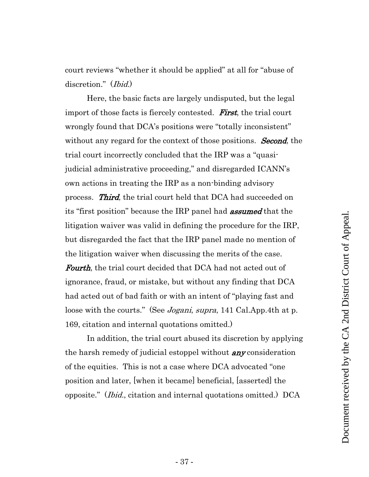court reviews "whether it should be applied" at all for "abuse of discretion." (Ibid.)

Here, the basic facts are largely undisputed, but the legal import of those facts is fiercely contested. **First**, the trial court wrongly found that DCA's positions were "totally inconsistent" without any regard for the context of those positions. **Second**, the trial court incorrectly concluded that the IRP was a "quasijudicial administrative proceeding," and disregarded ICANN's own actions in treating the IRP as a non-binding advisory process. Third, the trial court held that DCA had succeeded on its "first position" because the IRP panel had **assumed** that the litigation waiver was valid in defining the procedure for the IRP, but disregarded the fact that the IRP panel made no mention of the litigation waiver when discussing the merits of the case. Fourth, the trial court decided that DCA had not acted out of ignorance, fraud, or mistake, but without any finding that DCA had acted out of bad faith or with an intent of "playing fast and loose with the courts." (See *Jogani, supra*, 141 Cal.App.4th at p. 169, citation and internal quotations omitted.)

In addition, the trial court abused its discretion by applying the harsh remedy of judicial estoppel without **any** consideration of the equities. This is not a case where DCA advocated "one position and later, [when it became] beneficial, [asserted] the opposite." (Ibid., citation and internal quotations omitted.) DCA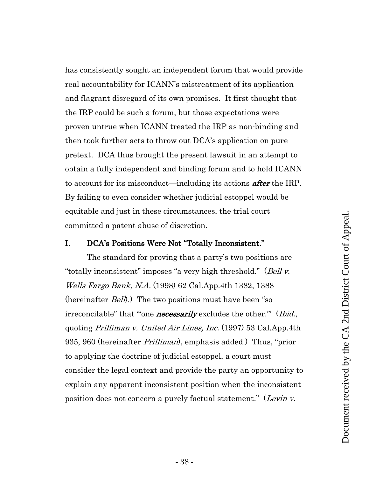has consistently sought an independent forum that would provide real accountability for ICANN's mistreatment of its application and flagrant disregard of its own promises. It first thought that the IRP could be such a forum, but those expectations were proven untrue when ICANN treated the IRP as non-binding and then took further acts to throw out DCA's application on pure pretext. DCA thus brought the present lawsuit in an attempt to obtain a fully independent and binding forum and to hold ICANN to account for its misconduct—including its actions **after** the IRP. By failing to even consider whether judicial estoppel would be equitable and just in these circumstances, the trial court committed a patent abuse of discretion.

### <span id="page-37-0"></span>I. DCA's Positions Were Not "Totally Inconsistent."

The standard for proving that a party's two positions are "totally inconsistent" imposes "a very high threshold." (Bell v. Wells Fargo Bank, N.A. (1998) 62 Cal.App.4th 1382, 1388 (hereinafter *Bell*).) The two positions must have been "so irreconcilable" that ""one **necessarily** excludes the other." (*Ibid.*, quoting Prilliman v. United Air Lines, Inc. (1997) 53 Cal.App.4th 935, 960 (hereinafter *Prilliman*), emphasis added.) Thus, "prior to applying the doctrine of judicial estoppel, a court must consider the legal context and provide the party an opportunity to explain any apparent inconsistent position when the inconsistent position does not concern a purely factual statement." (Levin v.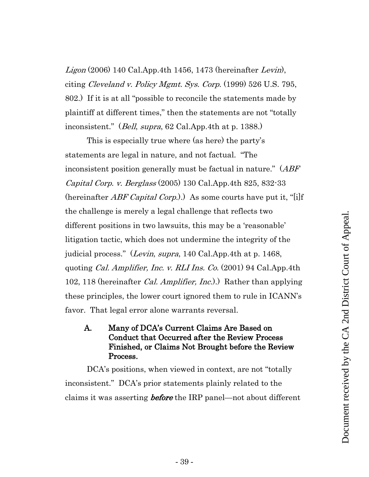Ligon (2006) 140 Cal.App.4th 1456, 1473 (hereinafter Levin), citing Cleveland v. Policy Mgmt. Sys. Corp.  $(1999)$  526 U.S. 795, 802.) If it is at all "possible to reconcile the statements made by plaintiff at different times," then the statements are not "totally inconsistent." (Bell, supra, 62 Cal.App.4th at p. 1388.)

This is especially true where (as here) the party's statements are legal in nature, and not factual. "The inconsistent position generally must be factual in nature." (ABF Capital Corp. v. Berglass (2005) 130 Cal.App.4th 825, 832-33 (hereinafter *ABF Capital Corp.*).) As some courts have put it, "[i]f the challenge is merely a legal challenge that reflects two different positions in two lawsuits, this may be a 'reasonable' litigation tactic, which does not undermine the integrity of the judicial process." (*Levin, supra*, 140 Cal.App.4th at p. 1468, quoting *Cal. Amplifier, Inc. v. RLI Ins. Co.* (2001) 94 Cal.App.4th 102, 118 (hereinafter *Cal. Amplifier, Inc.*).) Rather than applying these principles, the lower court ignored them to rule in ICANN's favor. That legal error alone warrants reversal.

# <span id="page-38-0"></span>A. Many of DCA's Current Claims Are Based on Conduct that Occurred after the Review Process Finished, or Claims Not Brought before the Review Process.

DCA's positions, when viewed in context, are not "totally inconsistent." DCA's prior statements plainly related to the claims it was asserting *before* the IRP panel—not about different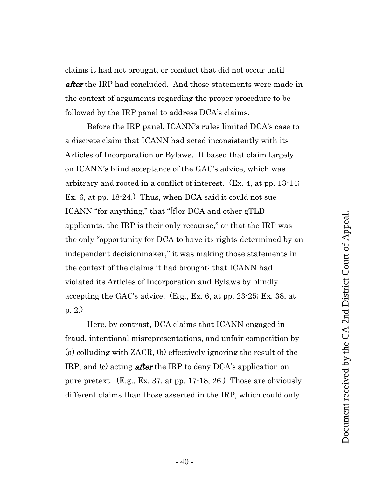claims it had not brought, or conduct that did not occur until after the IRP had concluded. And those statements were made in the context of arguments regarding the proper procedure to be followed by the IRP panel to address DCA's claims.

Before the IRP panel, ICANN's rules limited DCA's case to a discrete claim that ICANN had acted inconsistently with its Articles of Incorporation or Bylaws. It based that claim largely on ICANN's blind acceptance of the GAC's advice, which was arbitrary and rooted in a conflict of interest. (Ex. 4, at pp. 13-14; Ex. 6, at pp. 18-24.) Thus, when DCA said it could not sue ICANN "for anything," that "[f]or DCA and other gTLD applicants, the IRP is their only recourse," or that the IRP was the only "opportunity for DCA to have its rights determined by an independent decisionmaker," it was making those statements in the context of the claims it had brought: that ICANN had violated its Articles of Incorporation and Bylaws by blindly accepting the GAC's advice. (E.g., Ex. 6, at pp. 23-25; Ex. 38, at p. 2.)

Here, by contrast, DCA claims that ICANN engaged in fraud, intentional misrepresentations, and unfair competition by (a) colluding with ZACR, (b) effectively ignoring the result of the IRP, and (c) acting **after** the IRP to deny DCA's application on pure pretext. (E.g., Ex. 37, at pp. 17-18, 26.) Those are obviously different claims than those asserted in the IRP, which could only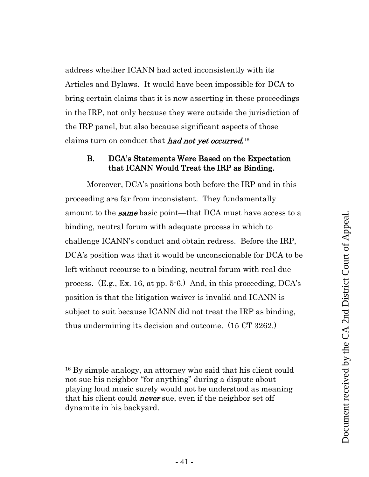address whether ICANN had acted inconsistently with its Articles and Bylaws. It would have been impossible for DCA to bring certain claims that it is now asserting in these proceedings in the IRP, not only because they were outside the jurisdiction of the IRP panel, but also because significant aspects of those claims turn on conduct that *had not yet occurred*.<sup>16</sup>

# <span id="page-40-0"></span>B. DCA's Statements Were Based on the Expectation that ICANN Would Treat the IRP as Binding.

Moreover, DCA's positions both before the IRP and in this proceeding are far from inconsistent. They fundamentally amount to the **same** basic point—that DCA must have access to a binding, neutral forum with adequate process in which to challenge ICANN's conduct and obtain redress. Before the IRP, DCA's position was that it would be unconscionable for DCA to be left without recourse to a binding, neutral forum with real due process. (E.g., Ex. 16, at pp. 5-6.) And, in this proceeding, DCA's position is that the litigation waiver is invalid and ICANN is subject to suit because ICANN did not treat the IRP as binding, thus undermining its decision and outcome. (15 CT 3262.)

<sup>16</sup> By simple analogy, an attorney who said that his client could not sue his neighbor "for anything" during a dispute about playing loud music surely would not be understood as meaning that his client could **never** sue, even if the neighbor set off dynamite in his backyard.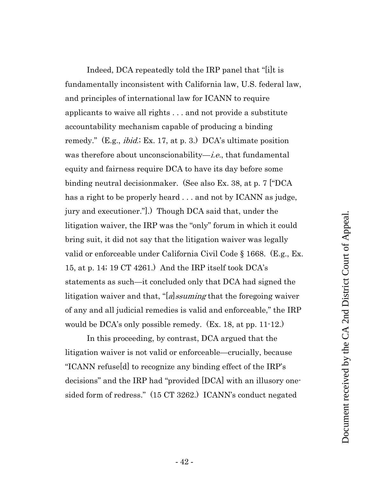Indeed, DCA repeatedly told the IRP panel that "[i]t is fundamentally inconsistent with California law, U.S. federal law, and principles of international law for ICANN to require applicants to waive all rights . . . and not provide a substitute accountability mechanism capable of producing a binding remedy." (E.g., *ibid.*; Ex. 17, at p. 3.) DCA's ultimate position was therefore about unconscionability—*i.e.*, that fundamental equity and fairness require DCA to have its day before some binding neutral decisionmaker. (See also Ex. 38, at p. 7 ["DCA has a right to be properly heard . . . and not by ICANN as judge, jury and executioner."].) Though DCA said that, under the litigation waiver, the IRP was the "only" forum in which it could bring suit, it did not say that the litigation waiver was legally valid or enforceable under California Civil Code § 1668. (E.g., Ex. 15, at p. 14; 19 CT 4261.) And the IRP itself took DCA's statements as such—it concluded only that DCA had signed the litigation waiver and that, "[a]ssuming that the foregoing waiver of any and all judicial remedies is valid and enforceable," the IRP would be DCA's only possible remedy. (Ex. 18, at pp. 11-12.)

In this proceeding, by contrast, DCA argued that the litigation waiver is not valid or enforceable—crucially, because "ICANN refuse[d] to recognize any binding effect of the IRP's decisions" and the IRP had "provided [DCA] with an illusory onesided form of redress." (15 CT 3262.) ICANN's conduct negated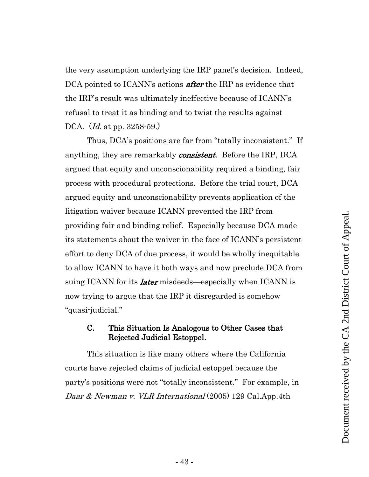the very assumption underlying the IRP panel's decision. Indeed, DCA pointed to ICANN's actions **after** the IRP as evidence that the IRP's result was ultimately ineffective because of ICANN's refusal to treat it as binding and to twist the results against DCA. (*Id.* at pp. 3258-59.)

Thus, DCA's positions are far from "totally inconsistent." If anything, they are remarkably *consistent*. Before the IRP, DCA argued that equity and unconscionability required a binding, fair process with procedural protections. Before the trial court, DCA argued equity and unconscionability prevents application of the litigation waiver because ICANN prevented the IRP from providing fair and binding relief. Especially because DCA made its statements about the waiver in the face of ICANN's persistent effort to deny DCA of due process, it would be wholly inequitable to allow ICANN to have it both ways and now preclude DCA from suing ICANN for its *later* misdeeds—especially when ICANN is now trying to argue that the IRP it disregarded is somehow "quasi-judicial."

# <span id="page-42-0"></span>C. This Situation Is Analogous to Other Cases that Rejected Judicial Estoppel.

This situation is like many others where the California courts have rejected claims of judicial estoppel because the party's positions were not "totally inconsistent." For example, in Daar & Newman v. VLR International  $(2005)$  129 Cal.App.4th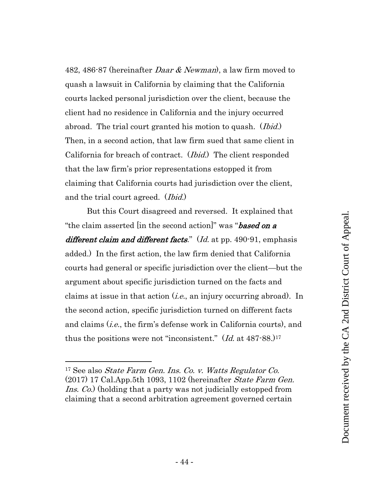482, 486-87 (hereinafter *Daar & Newman*), a law firm moved to quash a lawsuit in California by claiming that the California courts lacked personal jurisdiction over the client, because the client had no residence in California and the injury occurred abroad. The trial court granted his motion to quash. *(Ibid.)* Then, in a second action, that law firm sued that same client in California for breach of contract. (Ibid.) The client responded that the law firm's prior representations estopped it from claiming that California courts had jurisdiction over the client, and the trial court agreed. (Ibid.)

But this Court disagreed and reversed. It explained that "the claim asserted [in the second action]" was "**based on a** different claim and different facts." (Id. at pp. 490-91, emphasis added.) In the first action, the law firm denied that California courts had general or specific jurisdiction over the client—but the argument about specific jurisdiction turned on the facts and claims at issue in that action  $(i.e.,$  an injury occurring abroad). In the second action, specific jurisdiction turned on different facts and claims *(i.e.*, the firm's defense work in California courts), and thus the positions were not "inconsistent."  $(Id. 3t 487-88. 117$ 

<sup>17</sup> See also State Farm Gen. Ins. Co. v. Watts Regulator Co.  $(2017)$  17 Cal.App.5th 1093, 1102 (hereinafter *State Farm Gen.* Ins. Co.) (holding that a party was not judicially estopped from claiming that a second arbitration agreement governed certain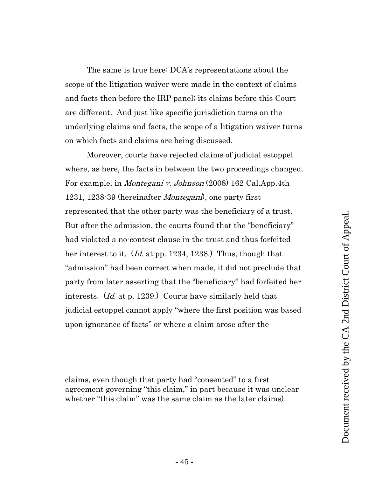The same is true here: DCA's representations about the scope of the litigation waiver were made in the context of claims and facts then before the IRP panel; its claims before this Court are different. And just like specific jurisdiction turns on the underlying claims and facts, the scope of a litigation waiver turns on which facts and claims are being discussed.

Moreover, courts have rejected claims of judicial estoppel where, as here, the facts in between the two proceedings changed. For example, in *Montegani v. Johnson* (2008) 162 Cal.App.4th 1231, 1238-39 (hereinafter Montegani), one party first represented that the other party was the beneficiary of a trust. But after the admission, the courts found that the "beneficiary" had violated a no-contest clause in the trust and thus forfeited her interest to it. (*Id.* at pp. 1234, 1238.) Thus, though that "admission" had been correct when made, it did not preclude that party from later asserting that the "beneficiary" had forfeited her interests. (Id. at p. 1239.) Courts have similarly held that judicial estoppel cannot apply "where the first position was based upon ignorance of facts" or where a claim arose after the

claims, even though that party had "consented" to a first agreement governing "this claim," in part because it was unclear whether "this claim" was the same claim as the later claims).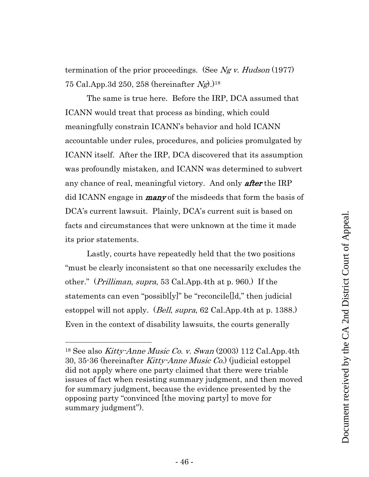termination of the prior proceedings. (See Ng v. Hudson  $(1977)$ ) 75 Cal.App.3d 250, 258 (hereinafter  $Ng$ ).)<sup>18</sup>

The same is true here. Before the IRP, DCA assumed that ICANN would treat that process as binding, which could meaningfully constrain ICANN's behavior and hold ICANN accountable under rules, procedures, and policies promulgated by ICANN itself. After the IRP, DCA discovered that its assumption was profoundly mistaken, and ICANN was determined to subvert any chance of real, meaningful victory. And only **after** the IRP did ICANN engage in **many** of the misdeeds that form the basis of DCA's current lawsuit. Plainly, DCA's current suit is based on facts and circumstances that were unknown at the time it made its prior statements.

Lastly, courts have repeatedly held that the two positions "must be clearly inconsistent so that one necessarily excludes the other." (Prilliman, supra, 53 Cal.App.4th at p. 960.) If the statements can even "possibl[y]" be "reconcile[]d," then judicial estoppel will not apply. (*Bell, supra*, 62 Cal.App.4th at p. 1388.) Even in the context of disability lawsuits, the courts generally

<sup>&</sup>lt;sup>18</sup> See also *Kitty-Anne Music Co. v. Swan* (2003) 112 Cal.App.4th 30, 35-36 (hereinafter Kitty-Anne Music Co.) (judicial estoppel did not apply where one party claimed that there were triable issues of fact when resisting summary judgment, and then moved for summary judgment, because the evidence presented by the opposing party "convinced [the moving party] to move for summary judgment").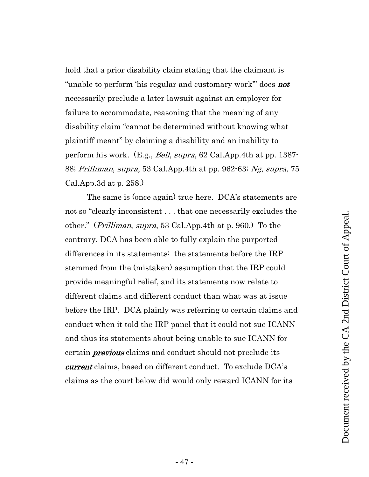hold that a prior disability claim stating that the claimant is "unable to perform 'his regular and customary work" does **not** necessarily preclude a later lawsuit against an employer for failure to accommodate, reasoning that the meaning of any disability claim "cannot be determined without knowing what plaintiff meant" by claiming a disability and an inability to perform his work. (E.g., Bell, supra, 62 Cal.App.4th at pp. 1387- 88; Prilliman, supra, 53 Cal.App.4th at pp. 962-63; Ng, supra, 75 Cal.App.3d at p. 258.)

The same is (once again) true here. DCA's statements are not so "clearly inconsistent . . . that one necessarily excludes the other." (Prilliman, supra, 53 Cal.App.4th at p. 960.) To the contrary, DCA has been able to fully explain the purported differences in its statements: the statements before the IRP stemmed from the (mistaken) assumption that the IRP could provide meaningful relief, and its statements now relate to different claims and different conduct than what was at issue before the IRP. DCA plainly was referring to certain claims and conduct when it told the IRP panel that it could not sue ICANN and thus its statements about being unable to sue ICANN for certain **previous** claims and conduct should not preclude its current claims, based on different conduct. To exclude DCA's claims as the court below did would only reward ICANN for its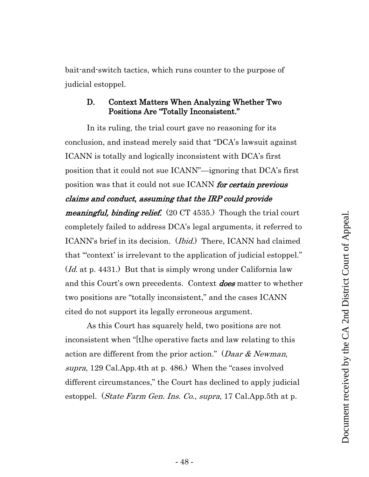bait-and-switch tactics, which runs counter to the purpose of judicial estoppel.

## <span id="page-47-0"></span>D. Context Matters When Analyzing Whether Two Positions Are "Totally Inconsistent."

In its ruling, the trial court gave no reasoning for its conclusion, and instead merely said that "DCA's lawsuit against ICANN is totally and logically inconsistent with DCA's first position that it could not sue ICANN"—ignoring that DCA's first position was that it could not sue ICANN *for certain previous* claims and conduct, assuming that the IRP could provide meaningful, binding relief. (20 CT 4535.) Though the trial court completely failed to address DCA's legal arguments, it referred to ICANN's brief in its decision. (Ibid.) There, ICANN had claimed that "'context' is irrelevant to the application of judicial estoppel." (*Id.* at p. 4431.) But that is simply wrong under California law and this Court's own precedents. Context **does** matter to whether two positions are "totally inconsistent," and the cases ICANN cited do not support its legally erroneous argument.

As this Court has squarely held, two positions are not inconsistent when "[t]he operative facts and law relating to this action are different from the prior action." (Daar  $& Newman$ , supra, 129 Cal.App.4th at p. 486.) When the "cases involved different circumstances," the Court has declined to apply judicial estoppel. (*State Farm Gen. Ins. Co., supra*, 17 Cal.App.5th at p.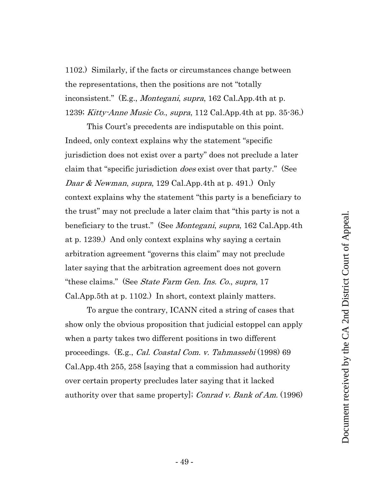1102.) Similarly, if the facts or circumstances change between the representations, then the positions are not "totally inconsistent." (E.g., *Montegani, supra*, 162 Cal.App.4th at p. 1239; Kitty-Anne Music Co., supra, 112 Cal.App.4th at pp. 35-36.)

This Court's precedents are indisputable on this point. Indeed, only context explains why the statement "specific jurisdiction does not exist over a party" does not preclude a later claim that "specific jurisdiction does exist over that party." (See Daar & Newman, supra, 129 Cal. App. 4th at p. 491.) Only context explains why the statement "this party is a beneficiary to the trust" may not preclude a later claim that "this party is not a beneficiary to the trust." (See *Montegani, supra*, 162 Cal.App.4th at p. 1239.) And only context explains why saying a certain arbitration agreement "governs this claim" may not preclude later saying that the arbitration agreement does not govern "these claims." (See *State Farm Gen. Ins. Co., supra*, 17 Cal.App.5th at p. 1102.) In short, context plainly matters.

To argue the contrary, ICANN cited a string of cases that show only the obvious proposition that judicial estoppel can apply when a party takes two different positions in two different proceedings. (E.g., Cal. Coastal Com. v. Tahmassebi (1998) 69 Cal.App.4th 255, 258 [saying that a commission had authority over certain property precludes later saying that it lacked authority over that same property]; Conrad v. Bank of Am. (1996)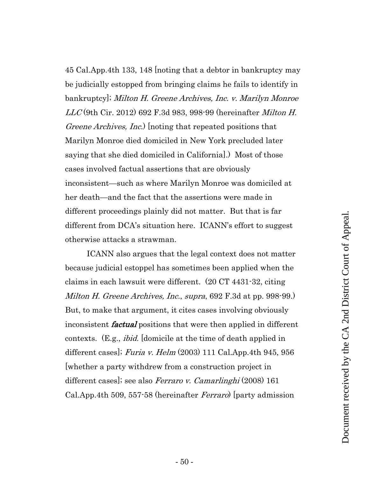45 Cal.App.4th 133, 148 [noting that a debtor in bankruptcy may be judicially estopped from bringing claims he fails to identify in bankruptcy]; Milton H. Greene Archives, Inc. v. Marilyn Monroe  $LLC$  (9th Cir. 2012) 692 F.3d 983, 998-99 (hereinafter *Milton H.* Greene Archives, Inc.) [noting that repeated positions that Marilyn Monroe died domiciled in New York precluded later saying that she died domiciled in California].) Most of those cases involved factual assertions that are obviously inconsistent—such as where Marilyn Monroe was domiciled at her death—and the fact that the assertions were made in different proceedings plainly did not matter. But that is far different from DCA's situation here. ICANN's effort to suggest otherwise attacks a strawman.

ICANN also argues that the legal context does not matter because judicial estoppel has sometimes been applied when the claims in each lawsuit were different. (20 CT 4431-32, citing Milton H. Greene Archives, Inc., supra, 692 F.3d at pp. 998-99.) But, to make that argument, it cites cases involving obviously inconsistent factual positions that were then applied in different contexts. (E.g., ibid. [domicile at the time of death applied in different cases]; Furia v. Helm  $(2003)$  111 Cal.App.4th 945, 956 [whether a party withdrew from a construction project in different cases]; see also *Ferraro v. Camarlinghi* (2008) 161 Cal.App.4th 509, 557-58 (hereinafter Ferraro) [party admission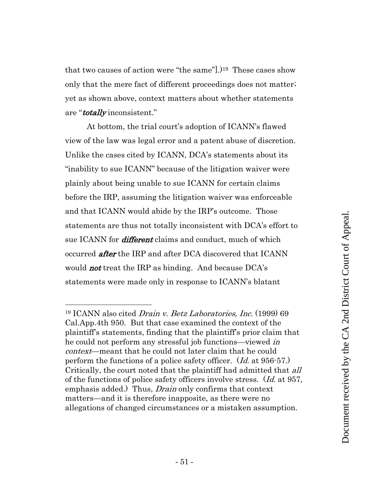that two causes of action were "the same"].)19 These cases show only that the mere fact of different proceedings does not matter; yet as shown above, context matters about whether statements are "**totally** inconsistent."

At bottom, the trial court's adoption of ICANN's flawed view of the law was legal error and a patent abuse of discretion. Unlike the cases cited by ICANN, DCA's statements about its "inability to sue ICANN" because of the litigation waiver were plainly about being unable to sue ICANN for certain claims before the IRP, assuming the litigation waiver was enforceable and that ICANN would abide by the IRP's outcome. Those statements are thus not totally inconsistent with DCA's effort to sue ICANN for *different* claims and conduct, much of which occurred *after* the IRP and after DCA discovered that ICANN would **not** treat the IRP as binding. And because DCA's statements were made only in response to ICANN's blatant

<sup>19</sup> ICANN also cited Drain v. Betz Laboratories, Inc. (1999) 69 Cal.App.4th 950. But that case examined the context of the plaintiff's statements, finding that the plaintiff's prior claim that he could not perform any stressful job functions—viewed *in* context—meant that he could not later claim that he could perform the functions of a police safety officer. (Id. at 956-57.) Critically, the court noted that the plaintiff had admitted that all of the functions of police safety officers involve stress. (Id. at 957, emphasis added.) Thus, *Drain* only confirms that context matters—and it is therefore inapposite, as there were no allegations of changed circumstances or a mistaken assumption.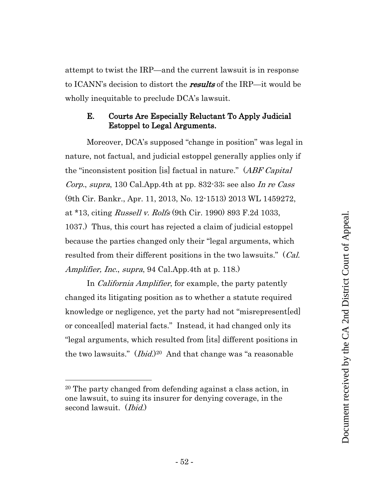attempt to twist the IRP—and the current lawsuit is in response to ICANN's decision to distort the **results** of the IRP—it would be wholly inequitable to preclude DCA's lawsuit.

# <span id="page-51-0"></span>E. Courts Are Especially Reluctant To Apply Judicial Estoppel to Legal Arguments.

Moreover, DCA's supposed "change in position" was legal in nature, not factual, and judicial estoppel generally applies only if the "inconsistent position [is] factual in nature." (*ABF Capital*) Corp., supra, 130 Cal.App.4th at pp. 832-33; see also In re Cass (9th Cir. Bankr., Apr. 11, 2013, No. 12-1513) 2013 WL 1459272, at \*13, citing Russell v. Rolfs (9th Cir. 1990) 893 F.2d 1033, 1037.) Thus, this court has rejected a claim of judicial estoppel because the parties changed only their "legal arguments, which resulted from their different positions in the two lawsuits." (*Cal.*) Amplifier, Inc., supra, 94 Cal.App.4th at p. 118.

In *California Amplifier*, for example, the party patently changed its litigating position as to whether a statute required knowledge or negligence, yet the party had not "misrepresent[ed] or conceal[ed] material facts." Instead, it had changed only its "legal arguments, which resulted from [its] different positions in the two lawsuits." *(Ibid.)*<sup>20</sup> And that change was "a reasonable

<sup>20</sup> The party changed from defending against a class action, in one lawsuit, to suing its insurer for denying coverage, in the second lawsuit. (*Ibid.*)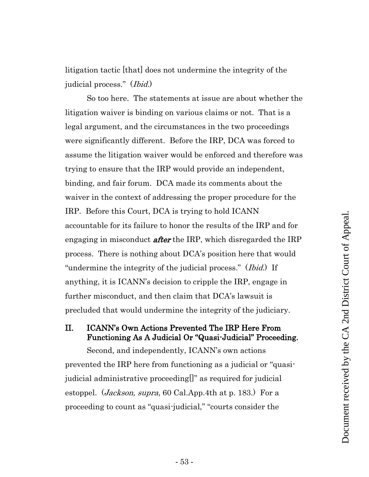litigation tactic [that] does not undermine the integrity of the judicial process." (Ibid.)

So too here. The statements at issue are about whether the litigation waiver is binding on various claims or not. That is a legal argument, and the circumstances in the two proceedings were significantly different. Before the IRP, DCA was forced to assume the litigation waiver would be enforced and therefore was trying to ensure that the IRP would provide an independent, binding, and fair forum. DCA made its comments about the waiver in the context of addressing the proper procedure for the IRP. Before this Court, DCA is trying to hold ICANN accountable for its failure to honor the results of the IRP and for engaging in misconduct **after** the IRP, which disregarded the IRP process. There is nothing about DCA's position here that would "undermine the integrity of the judicial process." (*Ibid.*) If anything, it is ICANN's decision to cripple the IRP, engage in further misconduct, and then claim that DCA's lawsuit is precluded that would undermine the integrity of the judiciary.

# <span id="page-52-0"></span>II. ICANN's Own Actions Prevented The IRP Here From Functioning As A Judicial Or "Quasi-Judicial" Proceeding.

Second, and independently, ICANN's own actions prevented the IRP here from functioning as a judicial or "quasijudicial administrative proceeding[]" as required for judicial estoppel. (Jackson, supra, 60 Cal.App.4th at p. 183.) For a proceeding to count as "quasi-judicial," "courts consider the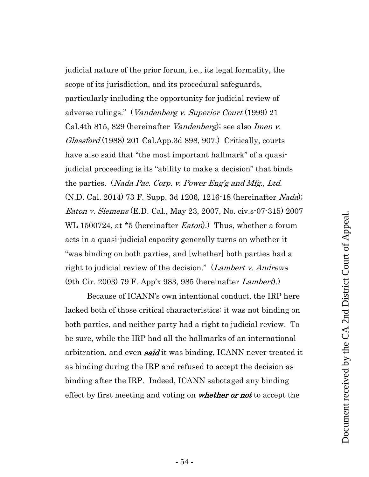judicial nature of the prior forum, i.e., its legal formality, the scope of its jurisdiction, and its procedural safeguards, particularly including the opportunity for judicial review of adverse rulings." (*Vandenberg v. Superior Court* (1999) 21 Cal.4th 815, 829 (hereinafter Vandenberg); see also Imen v. Glassford (1988) 201 Cal.App.3d 898, 907.) Critically, courts have also said that "the most important hallmark" of a quasijudicial proceeding is its "ability to make a decision" that binds the parties. (*Nada Pac. Corp. v. Power Eng'g and Mfg., Ltd.* (N.D. Cal. 2014) 73 F. Supp. 3d 1206, 1216-18 (hereinafter Nada); Eaton v. Siemens (E.D. Cal., May 23, 2007, No. civ.s-07-315) 2007 WL 1500724, at \*5 (hereinafter *Eaton*).) Thus, whether a forum acts in a quasi-judicial capacity generally turns on whether it "was binding on both parties, and [whether] both parties had a right to judicial review of the decision." (*Lambert v. Andrews* (9th Cir. 2003) 79 F. App'x 983, 985 (hereinafter Lambert).)

Because of ICANN's own intentional conduct, the IRP here lacked both of those critical characteristics: it was not binding on both parties, and neither party had a right to judicial review. To be sure, while the IRP had all the hallmarks of an international arbitration, and even **said** it was binding, ICANN never treated it as binding during the IRP and refused to accept the decision as binding after the IRP. Indeed, ICANN sabotaged any binding effect by first meeting and voting on *whether or not* to accept the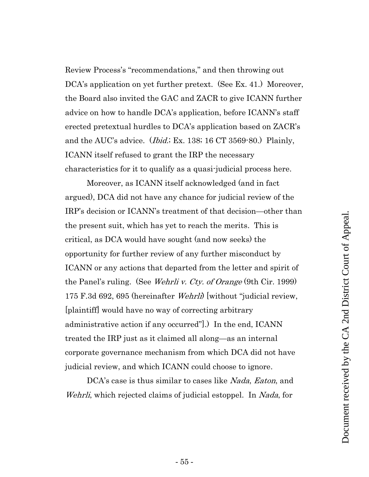Review Process's "recommendations," and then throwing out DCA's application on yet further pretext. (See Ex. 41.) Moreover, the Board also invited the GAC and ZACR to give ICANN further advice on how to handle DCA's application, before ICANN's staff erected pretextual hurdles to DCA's application based on ZACR's and the AUC's advice. (Ibid.; Ex. 138; 16 CT 3569-80.) Plainly, ICANN itself refused to grant the IRP the necessary characteristics for it to qualify as a quasi-judicial process here.

Moreover, as ICANN itself acknowledged (and in fact argued), DCA did not have any chance for judicial review of the IRP's decision or ICANN's treatment of that decision—other than the present suit, which has yet to reach the merits. This is critical, as DCA would have sought (and now seeks) the opportunity for further review of any further misconduct by ICANN or any actions that departed from the letter and spirit of the Panel's ruling. (See *Wehrli v. Cty. of Orange* (9th Cir. 1999) 175 F.3d 692, 695 (hereinafter Wehrli) [without "judicial review, [plaintiff] would have no way of correcting arbitrary administrative action if any occurred"].) In the end, ICANN treated the IRP just as it claimed all along—as an internal corporate governance mechanism from which DCA did not have judicial review, and which ICANN could choose to ignore.

DCA's case is thus similar to cases like *Nada*, *Eaton*, and Wehrli, which rejected claims of judicial estoppel. In *Nada*, for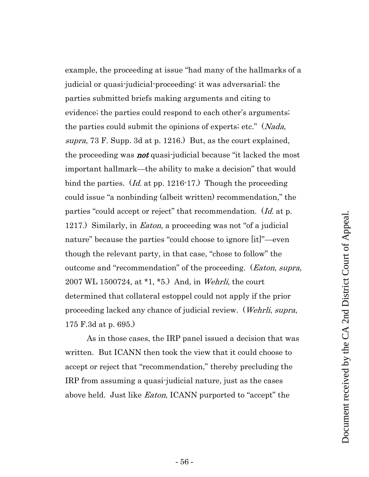example, the proceeding at issue "had many of the hallmarks of a judicial or quasi-judicial-proceeding: it was adversarial; the parties submitted briefs making arguments and citing to evidence; the parties could respond to each other's arguments; the parties could submit the opinions of experts; etc." (*Nada*, supra, 73 F. Supp. 3d at p. 1216.) But, as the court explained, the proceeding was **not** quasi-judicial because "it lacked the most" important hallmark—the ability to make a decision" that would bind the parties. (*Id.* at pp. 1216-17.) Though the proceeding could issue "a nonbinding (albeit written) recommendation," the parties "could accept or reject" that recommendation. (Id. at p. 1217.) Similarly, in *Eaton*, a proceeding was not "of a judicial nature" because the parties "could choose to ignore [it]"—even though the relevant party, in that case, "chose to follow" the outcome and "recommendation" of the proceeding. (*Eaton, supra,* 2007 WL 1500724, at \*1, \*5.) And, in Wehrli, the court determined that collateral estoppel could not apply if the prior proceeding lacked any chance of judicial review. (Wehrli, supra, 175 F.3d at p. 695.)

As in those cases, the IRP panel issued a decision that was written. But ICANN then took the view that it could choose to accept or reject that "recommendation," thereby precluding the IRP from assuming a quasi-judicial nature, just as the cases above held. Just like *Eaton*, ICANN purported to "accept" the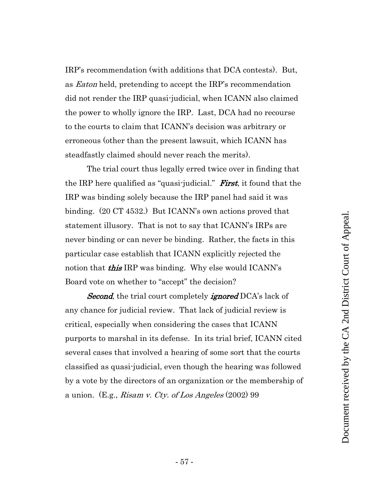IRP's recommendation (with additions that DCA contests). But, as Eaton held, pretending to accept the IRP's recommendation did not render the IRP quasi-judicial, when ICANN also claimed the power to wholly ignore the IRP. Last, DCA had no recourse to the courts to claim that ICANN's decision was arbitrary or erroneous (other than the present lawsuit, which ICANN has steadfastly claimed should never reach the merits).

The trial court thus legally erred twice over in finding that the IRP here qualified as "quasi-judicial." **First**, it found that the IRP was binding solely because the IRP panel had said it was binding. (20 CT 4532.) But ICANN's own actions proved that statement illusory. That is not to say that ICANN's IRPs are never binding or can never be binding. Rather, the facts in this particular case establish that ICANN explicitly rejected the notion that **this** IRP was binding. Why else would ICANN's Board vote on whether to "accept" the decision?

**Second**, the trial court completely *ignored* DCA's lack of any chance for judicial review. That lack of judicial review is critical, especially when considering the cases that ICANN purports to marshal in its defense. In its trial brief, ICANN cited several cases that involved a hearing of some sort that the courts classified as quasi-judicial, even though the hearing was followed by a vote by the directors of an organization or the membership of a union. (E.g., *Risam v. Cty. of Los Angeles* (2002) 99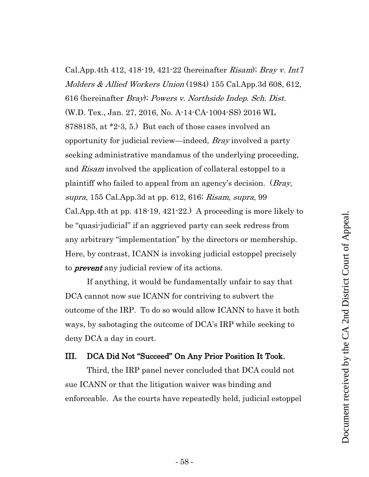Cal.App.4th 412, 418-19, 421-22 (hereinafter *Risam*); *Bray v. Int'l* Molders & Allied Workers Union (1984) 155 Cal.App.3d 608, 612, 616 (hereinafter Bray); Powers v. Northside Indep. Sch. Dist. (W.D. Tex., Jan. 27, 2016, No. A-14-CA-1004-SS) 2016 WL 8788185, at \*2-3, 5.) But each of those cases involved an opportunity for judicial review—indeed, Bray involved a party seeking administrative mandamus of the underlying proceeding, and Risam involved the application of collateral estoppel to a plaintiff who failed to appeal from an agency's decision. (*Bray*, supra, 155 Cal.App.3d at pp. 612, 616; Risam, supra, 99 Cal.App.4th at pp. 418-19, 421-22.) A proceeding is more likely to be "quasi-judicial" if an aggrieved party can seek redress from any arbitrary "implementation" by the directors or membership. Here, by contrast, ICANN is invoking judicial estoppel precisely to **prevent** any judicial review of its actions.

If anything, it would be fundamentally unfair to say that DCA cannot now sue ICANN for contriving to subvert the outcome of the IRP. To do so would allow ICANN to have it both ways, by sabotaging the outcome of DCA's IRP while seeking to deny DCA a day in court.

## <span id="page-57-0"></span>III. DCA Did Not "Succeed" On Any Prior Position It Took.

Third, the IRP panel never concluded that DCA could not sue ICANN or that the litigation waiver was binding and enforceable. As the courts have repeatedly held, judicial estoppel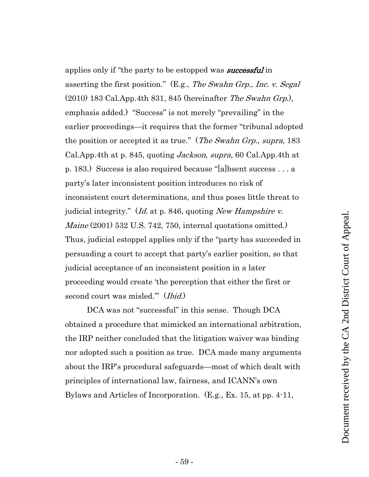applies only if "the party to be estopped was **successful** in asserting the first position." (E.g., The Swahn Grp., Inc. v. Segal  $(2010)$  183 Cal.App.4th 831, 845 (hereinafter *The Swahn Grp.*), emphasis added.) "Success" is not merely "prevailing" in the earlier proceedings—it requires that the former "tribunal adopted the position or accepted it as true." (*The Swahn Grp., supra,* 183) Cal.App.4th at p. 845, quoting Jackson, supra, 60 Cal.App.4th at p. 183.) Success is also required because "[a]bsent success . . . a party's later inconsistent position introduces no risk of inconsistent court determinations, and thus poses little threat to judicial integrity." (*Id.* at p. 846, quoting *New Hampshire v.* Maine (2001) 532 U.S. 742, 750, internal quotations omitted.) Thus, judicial estoppel applies only if the "party has succeeded in persuading a court to accept that party's earlier position, so that judicial acceptance of an inconsistent position in a later proceeding would create 'the perception that either the first or second court was misled." (*Ibid.*)

DCA was not "successful" in this sense. Though DCA obtained a procedure that mimicked an international arbitration, the IRP neither concluded that the litigation waiver was binding nor adopted such a position as true. DCA made many arguments about the IRP's procedural safeguards—most of which dealt with principles of international law, fairness, and ICANN's own Bylaws and Articles of Incorporation. (E.g., Ex. 15, at pp. 4-11,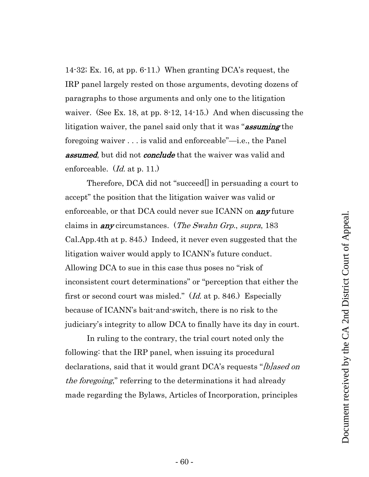14-32; Ex. 16, at pp. 6-11.) When granting DCA's request, the IRP panel largely rested on those arguments, devoting dozens of paragraphs to those arguments and only one to the litigation waiver. (See Ex. 18, at pp. 8-12, 14-15.) And when discussing the litigation waiver, the panel said only that it was "**assuming** the foregoing waiver . . . is valid and enforceable"—i.e., the Panel **assumed**, but did not **conclude** that the waiver was valid and enforceable. (*Id.* at p. 11.)

Therefore, DCA did not "succeed[] in persuading a court to accept" the position that the litigation waiver was valid or enforceable, or that DCA could never sue ICANN on  $\mathbf{any}$  future claims in **any** circumstances. (*The Swahn Grp., supra,* 183 Cal.App.4th at p. 845.) Indeed, it never even suggested that the litigation waiver would apply to ICANN's future conduct. Allowing DCA to sue in this case thus poses no "risk of inconsistent court determinations" or "perception that either the first or second court was misled." (Id. at p. 846.) Especially because of ICANN's bait-and-switch, there is no risk to the judiciary's integrity to allow DCA to finally have its day in court.

In ruling to the contrary, the trial court noted only the following: that the IRP panel, when issuing its procedural declarations, said that it would grant DCA's requests "[b]ased on the foregoing," referring to the determinations it had already made regarding the Bylaws, Articles of Incorporation, principles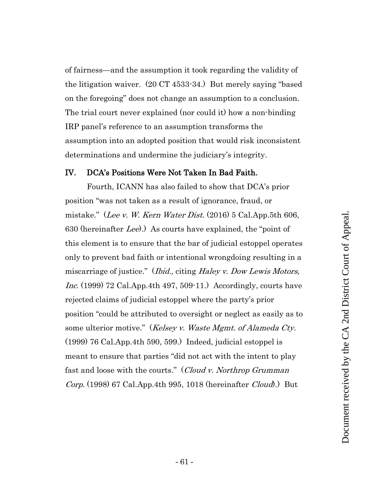of fairness—and the assumption it took regarding the validity of the litigation waiver. (20 CT 4533-34.) But merely saying "based on the foregoing" does not change an assumption to a conclusion. The trial court never explained (nor could it) how a non-binding IRP panel's reference to an assumption transforms the assumption into an adopted position that would risk inconsistent determinations and undermine the judiciary's integrity.

#### <span id="page-60-0"></span>IV. DCA's Positions Were Not Taken In Bad Faith.

Fourth, ICANN has also failed to show that DCA's prior position "was not taken as a result of ignorance, fraud, or mistake." (Lee v. W. Kern Water Dist.  $(2016)$  5 Cal.App.5th 606, 630 (hereinafter Lee).) As courts have explained, the "point of this element is to ensure that the bar of judicial estoppel operates only to prevent bad faith or intentional wrongdoing resulting in a miscarriage of justice." (*Ibid.*, citing *Haley v. Dow Lewis Motors*, Inc. (1999) 72 Cal.App.4th 497, 509-11.) Accordingly, courts have rejected claims of judicial estoppel where the party's prior position "could be attributed to oversight or neglect as easily as to some ulterior motive." (Kelsey v. Waste Mgmt. of Alameda Cty. (1999) 76 Cal.App.4th 590, 599.) Indeed, judicial estoppel is meant to ensure that parties "did not act with the intent to play fast and loose with the courts." (Cloud v. Northrop Grumman Corp. (1998) 67 Cal.App.4th 995, 1018 (hereinafter Cloud).) But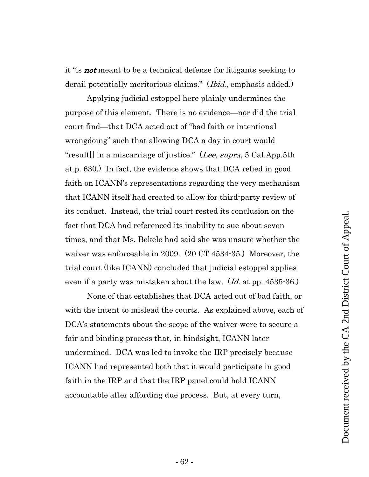it "is not meant to be a technical defense for litigants seeking to derail potentially meritorious claims." (*Ibid.*, emphasis added.)

Applying judicial estoppel here plainly undermines the purpose of this element. There is no evidence—nor did the trial court find—that DCA acted out of "bad faith or intentional wrongdoing" such that allowing DCA a day in court would "result<sup>[]</sup> in a miscarriage of justice." (Lee, supra, 5 Cal.App.5th at p. 630.) In fact, the evidence shows that DCA relied in good faith on ICANN's representations regarding the very mechanism that ICANN itself had created to allow for third-party review of its conduct. Instead, the trial court rested its conclusion on the fact that DCA had referenced its inability to sue about seven times, and that Ms. Bekele had said she was unsure whether the waiver was enforceable in 2009. (20 CT 4534-35.) Moreover, the trial court (like ICANN) concluded that judicial estoppel applies even if a party was mistaken about the law.  $Id$  at pp. 4535-36.)

None of that establishes that DCA acted out of bad faith, or with the intent to mislead the courts. As explained above, each of DCA's statements about the scope of the waiver were to secure a fair and binding process that, in hindsight, ICANN later undermined. DCA was led to invoke the IRP precisely because ICANN had represented both that it would participate in good faith in the IRP and that the IRP panel could hold ICANN accountable after affording due process. But, at every turn,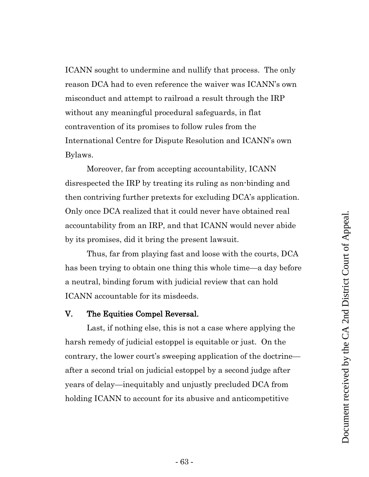ICANN sought to undermine and nullify that process. The only reason DCA had to even reference the waiver was ICANN's own misconduct and attempt to railroad a result through the IRP without any meaningful procedural safeguards, in flat contravention of its promises to follow rules from the International Centre for Dispute Resolution and ICANN's own Bylaws.

Moreover, far from accepting accountability, ICANN disrespected the IRP by treating its ruling as non-binding and then contriving further pretexts for excluding DCA's application. Only once DCA realized that it could never have obtained real accountability from an IRP, and that ICANN would never abide by its promises, did it bring the present lawsuit.

Thus, far from playing fast and loose with the courts, DCA has been trying to obtain one thing this whole time—a day before a neutral, binding forum with judicial review that can hold ICANN accountable for its misdeeds.

#### <span id="page-62-0"></span>V. The Equities Compel Reversal.

Last, if nothing else, this is not a case where applying the harsh remedy of judicial estoppel is equitable or just. On the contrary, the lower court's sweeping application of the doctrine after a second trial on judicial estoppel by a second judge after years of delay—inequitably and unjustly precluded DCA from holding ICANN to account for its abusive and anticompetitive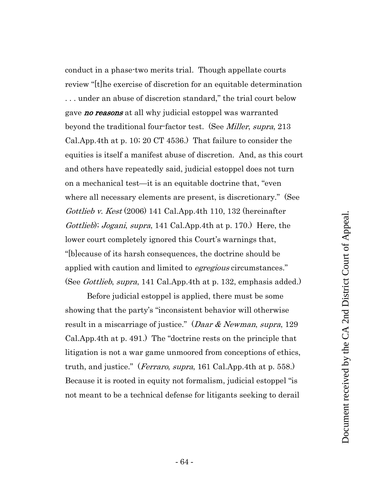conduct in a phase-two merits trial. Though appellate courts review "[t]he exercise of discretion for an equitable determination . . . under an abuse of discretion standard," the trial court below gave **no reasons** at all why judicial estoppel was warranted beyond the traditional four-factor test. (See *Miller, supra,* 213 Cal.App.4th at p. 10; 20 CT 4536.) That failure to consider the equities is itself a manifest abuse of discretion. And, as this court and others have repeatedly said, judicial estoppel does not turn on a mechanical test—it is an equitable doctrine that, "even where all necessary elements are present, is discretionary." (See Gottlieb v. Kest  $(2006)$  141 Cal.App.4th 110, 132 (hereinafter Gottlieb); Jogani, supra, 141 Cal.App.4th at p. 170.) Here, the lower court completely ignored this Court's warnings that, "[b]ecause of its harsh consequences, the doctrine should be applied with caution and limited to *egregious* circumstances." (See *Gottlieb, supra*, 141 Cal.App.4th at p. 132, emphasis added.)

Before judicial estoppel is applied, there must be some showing that the party's "inconsistent behavior will otherwise result in a miscarriage of justice." (*Daar & Newman, supra,* 129 Cal.App.4th at p. 491.) The "doctrine rests on the principle that litigation is not a war game unmoored from conceptions of ethics, truth, and justice." (*Ferraro, supra*, 161 Cal.App.4th at p. 558.) Because it is rooted in equity not formalism, judicial estoppel "is not meant to be a technical defense for litigants seeking to derail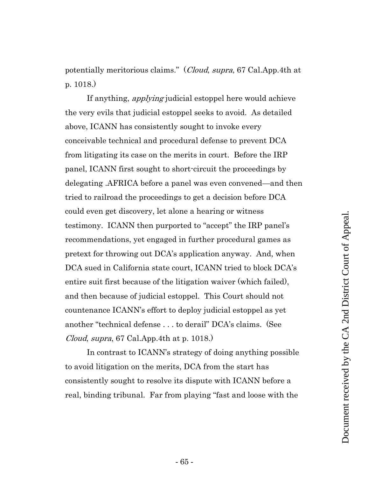potentially meritorious claims." (Cloud, supra, 67 Cal.App.4th at p. 1018.)

If anything, applying judicial estoppel here would achieve the very evils that judicial estoppel seeks to avoid. As detailed above, ICANN has consistently sought to invoke every conceivable technical and procedural defense to prevent DCA from litigating its case on the merits in court. Before the IRP panel, ICANN first sought to short-circuit the proceedings by delegating .AFRICA before a panel was even convened—and then tried to railroad the proceedings to get a decision before DCA could even get discovery, let alone a hearing or witness testimony. ICANN then purported to "accept" the IRP panel's recommendations, yet engaged in further procedural games as pretext for throwing out DCA's application anyway. And, when DCA sued in California state court, ICANN tried to block DCA's entire suit first because of the litigation waiver (which failed), and then because of judicial estoppel. This Court should not countenance ICANN's effort to deploy judicial estoppel as yet another "technical defense . . . to derail" DCA's claims. (See Cloud, supra, 67 Cal.App.4th at p. 1018.)

In contrast to ICANN's strategy of doing anything possible to avoid litigation on the merits, DCA from the start has consistently sought to resolve its dispute with ICANN before a real, binding tribunal. Far from playing "fast and loose with the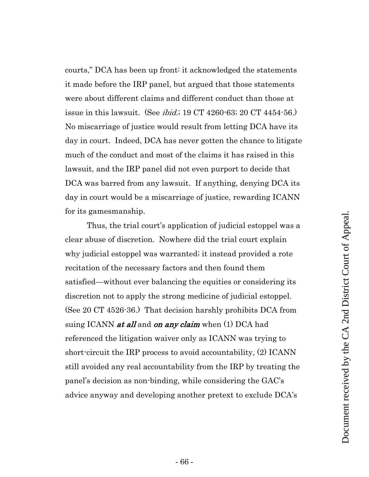courts," DCA has been up front: it acknowledged the statements it made before the IRP panel, but argued that those statements were about different claims and different conduct than those at issue in this lawsuit. (See *ibid.*; 19 CT 4260-63; 20 CT 4454-56.) No miscarriage of justice would result from letting DCA have its day in court. Indeed, DCA has never gotten the chance to litigate much of the conduct and most of the claims it has raised in this lawsuit, and the IRP panel did not even purport to decide that DCA was barred from any lawsuit. If anything, denying DCA its day in court would be a miscarriage of justice, rewarding ICANN for its gamesmanship.

Thus, the trial court's application of judicial estoppel was a clear abuse of discretion. Nowhere did the trial court explain why judicial estoppel was warranted; it instead provided a rote recitation of the necessary factors and then found them satisfied—without ever balancing the equities or considering its discretion not to apply the strong medicine of judicial estoppel. (See 20 CT 4526-36.) That decision harshly prohibits DCA from suing ICANN *at all* and *on any claim* when (1) DCA had referenced the litigation waiver only as ICANN was trying to short-circuit the IRP process to avoid accountability, (2) ICANN still avoided any real accountability from the IRP by treating the panel's decision as non-binding, while considering the GAC's advice anyway and developing another pretext to exclude DCA's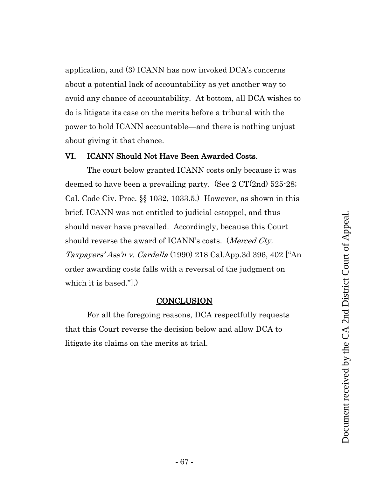application, and (3) ICANN has now invoked DCA's concerns about a potential lack of accountability as yet another way to avoid any chance of accountability. At bottom, all DCA wishes to do is litigate its case on the merits before a tribunal with the power to hold ICANN accountable—and there is nothing unjust about giving it that chance.

#### <span id="page-66-0"></span>VI. ICANN Should Not Have Been Awarded Costs.

The court below granted ICANN costs only because it was deemed to have been a prevailing party. (See 2 CT(2nd) 525-28; Cal. Code Civ. Proc. §§ 1032, 1033.5.) However, as shown in this brief, ICANN was not entitled to judicial estoppel, and thus should never have prevailed. Accordingly, because this Court should reverse the award of ICANN's costs. (Merced Cty. Taxpayers' Ass'n v. Cardella (1990) 218 Cal.App.3d 396, 402 ["An order awarding costs falls with a reversal of the judgment on which it is based."].)

#### **CONCLUSION**

<span id="page-66-1"></span>For all the foregoing reasons, DCA respectfully requests that this Court reverse the decision below and allow DCA to litigate its claims on the merits at trial.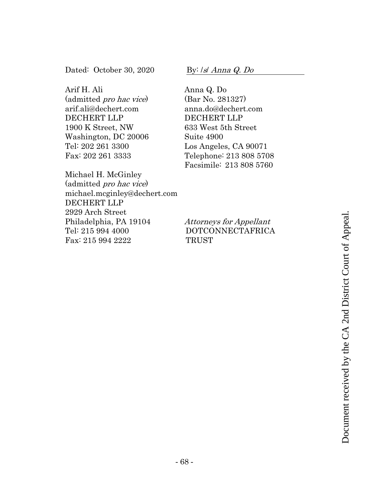Dated: October 30, 2020

Arif H. Ali<br>(admitted *pro hac vice*) arif.ali@dechert.com DECHERT LLP 1900 K Street, NW Washington, DC 20006 Tel: 202 261 3300 Fax: 202 261 3333

Michael H. McGinley<br>(admitted *pro hac vice*) michael.mcginley@dechert.com DECHERT LLP 2929 Arch Street Philadelphia, PA 19104 Tel: 215 994 4000 Fax: 215 994 2222

By: /s/ Anna Q. Do

Anna Q. Do (Bar No. 281327) anna.do@dechert.com DECHERT LLP 633 West 5th Street Suite 4900 Los Angeles, CA 90071 Telephone: 213 808 5708 Facsimile: 213 808 5760

# Attorneys for Appellant DOTCONNECTAFRICA Attorneys for Appellant<br>
DOTCONNECTAFRICA<br>
TRUST<br>
TRUST<br>
THE CA 2ND DOCUMENT COURT OF A 2ND DISTRICT COURT OF A 2ND DISTRICT OF A 2ND DISTRICT OF A 2ND DISTRICT OF A 2ND DISTRICT OF A 2ND DISTRICT OF A 2ND DISTRICT OF A 2N